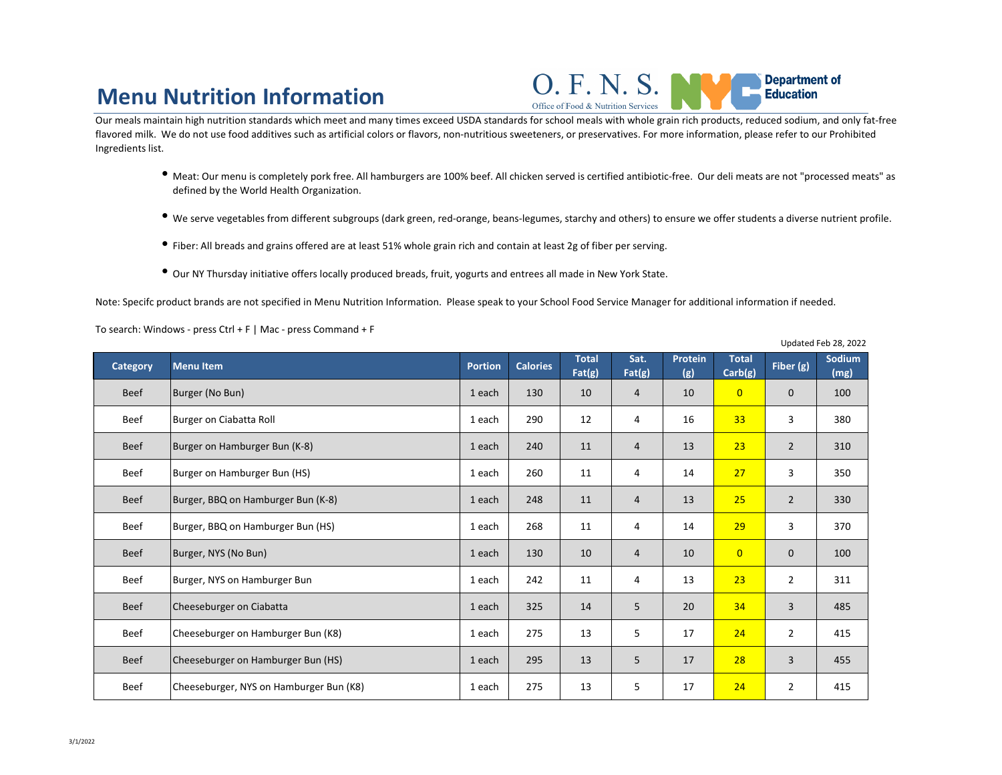## **Menu Nutrition Information**

Office of Food & Nutrition Services

- <sup>l</sup> Meat: Our menu is completely pork free. All hamburgers are 100% beef. All chicken served is certified antibiotic-free. Our deli meats are not "processed meats" as defined by the World Health Organization.
- <sup>l</sup> We serve vegetables from different subgroups (dark green, red-orange, beans-legumes, starchy and others) to ensure we offer students a diverse nutrient profile.
- <sup>l</sup> Fiber: All breads and grains offered are at least 51% whole grain rich and contain at least 2g of fiber per serving.
- $\bullet$  Our NY Thursday initiative offers locally produced breads, fruit, yogurts and entrees all made in New York State.

Our meals maintain high nutrition standards which meet and many times exceed USDA standards for school meals with whole grain rich products, reduced sodium, and only fat-free flavored milk. We do not use food additives such as artificial colors or flavors, non-nutritious sweeteners, or preservatives. For more information, please refer to our Prohibited Ingredients list.

Note: Specifc product brands are not specified in Menu Nutrition Information. Please speak to your School Food Service Manager for additional information if needed.

| To search: Windows - press Ctrl + F   Mac - press Command + F |  |
|---------------------------------------------------------------|--|
|---------------------------------------------------------------|--|

Updated Feb 28, 2022

| <b>Category</b> | <b>Menu Item</b>                        | <b>Portion</b> | <b>Calories</b> | <b>Total</b><br>Fat(g) | Sat.<br>Fat(g)  | <b>Protein</b><br>(g) | <b>Total</b><br>Carb(g) | Fiber (g)      | Sodium<br>(mg) |
|-----------------|-----------------------------------------|----------------|-----------------|------------------------|-----------------|-----------------------|-------------------------|----------------|----------------|
| <b>Beef</b>     | Burger (No Bun)                         | 1 each         | 130             | 10                     | $\overline{4}$  | 10                    | $\overline{0}$          | $\mathbf{0}$   | 100            |
| <b>Beef</b>     | Burger on Ciabatta Roll                 | 1 each         | 290             | 12                     | $\overline{4}$  | 16                    | 33                      | $\overline{3}$ | 380            |
| <b>Beef</b>     | Burger on Hamburger Bun (K-8)           | 1 each         | 240             | 11                     | $\overline{4}$  | 13                    | 23                      | $\overline{2}$ | 310            |
| <b>Beef</b>     | Burger on Hamburger Bun (HS)            | 1 each         | 260             | 11                     | $\overline{4}$  | 14                    | 27                      | $\mathsf{3}$   | 350            |
| <b>Beef</b>     | Burger, BBQ on Hamburger Bun (K-8)      | 1 each         | 248             | 11                     | $\overline{4}$  | 13                    | 25                      | $\overline{2}$ | 330            |
| <b>Beef</b>     | Burger, BBQ on Hamburger Bun (HS)       | 1 each         | 268             | 11                     | $\overline{4}$  | 14                    | 29                      | $\overline{3}$ | 370            |
| <b>Beef</b>     | Burger, NYS (No Bun)                    | 1 each         | 130             | 10                     | $\overline{4}$  | 10                    | $\overline{0}$          | $\mathbf{0}$   | 100            |
| <b>Beef</b>     | Burger, NYS on Hamburger Bun            | 1 each         | 242             | 11                     | $\overline{4}$  | 13                    | 23                      | $\overline{2}$ | 311            |
| <b>Beef</b>     | Cheeseburger on Ciabatta                | 1 each         | 325             | 14                     | 5               | 20                    | 34                      | $\overline{3}$ | 485            |
| <b>Beef</b>     | Cheeseburger on Hamburger Bun (K8)      | 1 each         | 275             | 13                     | $5\overline{)}$ | 17                    | 24                      | $\overline{2}$ | 415            |
| <b>Beef</b>     | Cheeseburger on Hamburger Bun (HS)      | 1 each         | 295             | 13                     | 5               | 17                    | 28                      | 3 <sup>1</sup> | 455            |
| <b>Beef</b>     | Cheeseburger, NYS on Hamburger Bun (K8) | 1 each         | 275             | 13                     | 5               | 17                    | 24                      | $2^{\circ}$    | 415            |

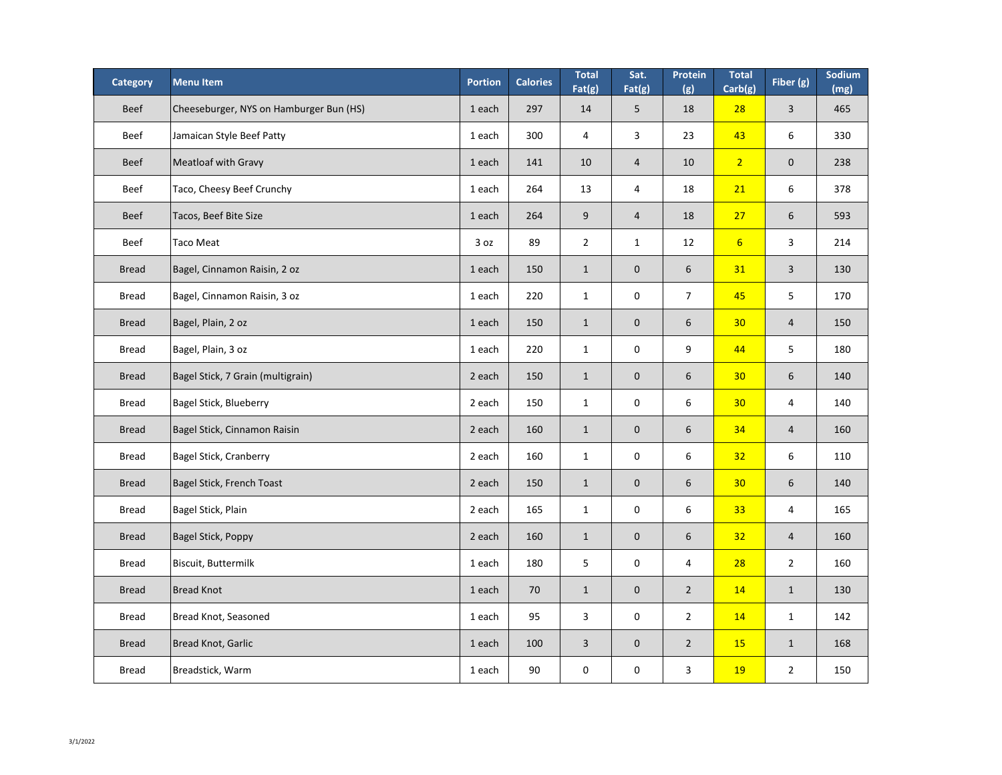| <b>Category</b> | <b>Menultem</b>                         | <b>Portion</b> | <b>Calories</b> | <b>Total</b><br>Fat(g) | Sat.<br>Fat(g)   | Protein<br>(g) | <b>Total</b><br>Carb(g) | Fiber (g)      | Sodium<br>(mg) |
|-----------------|-----------------------------------------|----------------|-----------------|------------------------|------------------|----------------|-------------------------|----------------|----------------|
| <b>Beef</b>     | Cheeseburger, NYS on Hamburger Bun (HS) | 1 each         | 297             | 14                     | 5                | 18             | 28                      | $\overline{3}$ | 465            |
| <b>Beef</b>     | Jamaican Style Beef Patty               | 1 each         | 300             | 4                      | $\mathsf{3}$     | 23             | 43                      | 6              | 330            |
| <b>Beef</b>     | <b>Meatloaf with Gravy</b>              | 1 each         | 141             | 10                     | $\overline{4}$   | 10             | $\overline{2}$          | $\overline{0}$ | 238            |
| <b>Beef</b>     | Taco, Cheesy Beef Crunchy               | 1 each         | 264             | 13                     | $\overline{4}$   | 18             | 21                      | 6              | 378            |
| <b>Beef</b>     | Tacos, Beef Bite Size                   | 1 each         | 264             | 9                      | $\overline{4}$   | 18             | 27                      | 6              | 593            |
| <b>Beef</b>     | Taco Meat                               | 3 oz           | 89              | $\overline{2}$         | $\mathbf{1}$     | 12             | $6 \overline{6}$        | 3              | 214            |
| <b>Bread</b>    | Bagel, Cinnamon Raisin, 2 oz            | 1 each         | 150             | $\mathbf{1}$           | $\theta$         | 6              | 31                      | $\overline{3}$ | 130            |
| <b>Bread</b>    | Bagel, Cinnamon Raisin, 3 oz            | 1 each         | 220             | $\mathbf{1}$           | $\mathbf 0$      | $\overline{7}$ | 45                      | 5              | 170            |
| <b>Bread</b>    | Bagel, Plain, 2 oz                      | 1 each         | 150             | $\mathbf{1}$           | $\overline{0}$   | 6              | 30                      | $\overline{4}$ | 150            |
| <b>Bread</b>    | Bagel, Plain, 3 oz                      | 1 each         | 220             | $\mathbf{1}$           | $\mathbf 0$      | 9              | 44                      | 5              | 180            |
| <b>Bread</b>    | Bagel Stick, 7 Grain (multigrain)       | 2 each         | 150             | $\mathbf{1}$           | $\boldsymbol{0}$ | 6              | 30                      | 6              | 140            |
| <b>Bread</b>    | <b>Bagel Stick, Blueberry</b>           | 2 each         | 150             | $\mathbf{1}$           | $\mathbf 0$      | $6\,$          | 30                      | $\overline{4}$ | 140            |
| <b>Bread</b>    | Bagel Stick, Cinnamon Raisin            | 2 each         | 160             | $\mathbf{1}$           | $\theta$         | 6              | 34                      | $\overline{4}$ | 160            |
| <b>Bread</b>    | <b>Bagel Stick, Cranberry</b>           | 2 each         | 160             | $\mathbf{1}$           | $\mathbf 0$      | $6\,$          | 32                      | 6              | 110            |
| <b>Bread</b>    | <b>Bagel Stick, French Toast</b>        | 2 each         | 150             | $\mathbf{1}$           | $\mathbf{0}$     | 6              | 30                      | 6              | 140            |
| <b>Bread</b>    | Bagel Stick, Plain                      | 2 each         | 165             | $\mathbf{1}$           | $\mathbf 0$      | $6\,$          | 33                      | $\overline{4}$ | 165            |
| <b>Bread</b>    | Bagel Stick, Poppy                      | 2 each         | 160             | $\mathbf{1}$           | $\theta$         | 6              | 32                      | $\overline{4}$ | 160            |
| <b>Bread</b>    | Biscuit, Buttermilk                     | 1 each         | 180             | 5                      | $\mathbf 0$      | 4              | 28                      | $\overline{2}$ | 160            |
| <b>Bread</b>    | <b>Bread Knot</b>                       | 1 each         | 70              | $\mathbf{1}$           | $\theta$         | $\overline{2}$ | 14                      | $\mathbf{1}$   | 130            |
| <b>Bread</b>    | Bread Knot, Seasoned                    | 1 each         | 95              | $\overline{3}$         | $\mathbf 0$      | $\overline{2}$ | 14                      | $\mathbf{1}$   | 142            |
| <b>Bread</b>    | Bread Knot, Garlic                      | 1 each         | 100             | $\overline{3}$         | $\boldsymbol{0}$ | $\overline{2}$ | <b>15</b>               | $\mathbf{1}$   | 168            |
| <b>Bread</b>    | Breadstick, Warm                        | 1 each         | 90              | $\mathbf 0$            | $\mathbf 0$      | $\mathsf{3}$   | <b>19</b>               | $\overline{2}$ | 150            |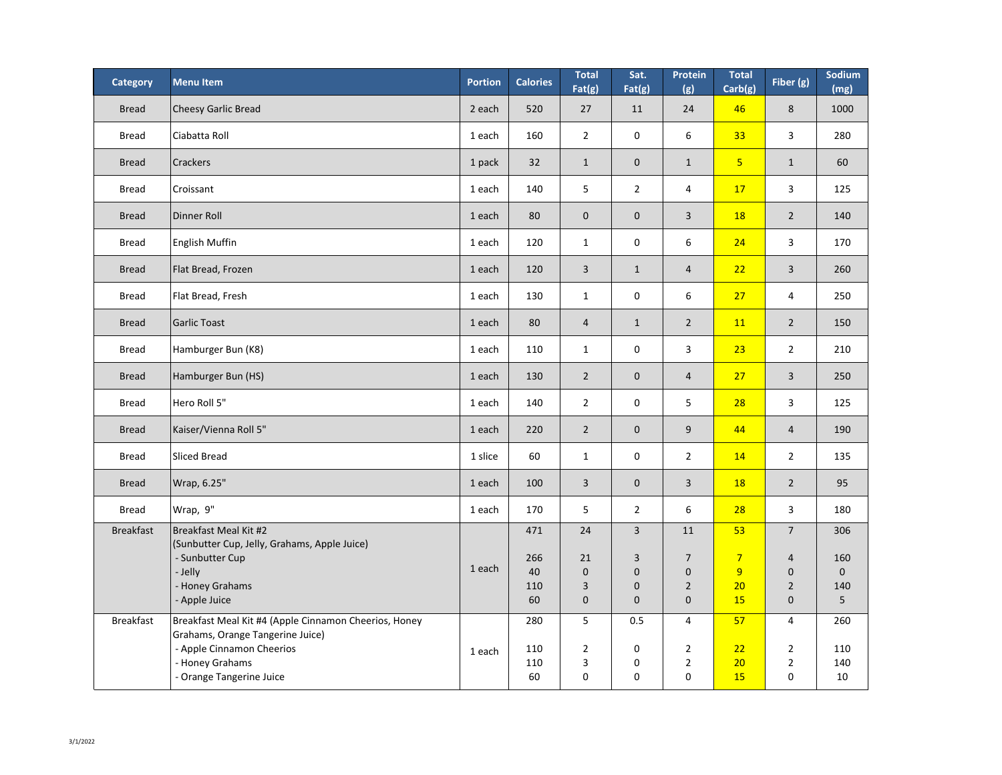| <b>Category</b>  | <b>Menu Item</b>                                                                          | <b>Portion</b> | <b>Calories</b> | <b>Total</b><br>Fat(g) | Sat.<br>Fat(g)   | <b>Protein</b><br>(g) | <b>Total</b><br>Carb(g) | Fiber (g)        | Sodium<br>(mg) |
|------------------|-------------------------------------------------------------------------------------------|----------------|-----------------|------------------------|------------------|-----------------------|-------------------------|------------------|----------------|
| <b>Bread</b>     | <b>Cheesy Garlic Bread</b>                                                                | 2 each         | 520             | 27                     | 11               | 24                    | 46                      | 8                | 1000           |
| <b>Bread</b>     | Ciabatta Roll                                                                             | 1 each         | 160             | $\overline{2}$         | $\mathbf 0$      | $6\,$                 | 33                      | $\mathsf{3}$     | 280            |
| <b>Bread</b>     | <b>Crackers</b>                                                                           | 1 pack         | 32              | $\mathbf{1}$           | $\theta$         | $\mathbf{1}$          | 5 <sub>5</sub>          | $\mathbf{1}$     | 60             |
| <b>Bread</b>     | Croissant                                                                                 | 1 each         | 140             | 5                      | $\overline{2}$   | 4                     | 17                      | $\mathsf{3}$     | 125            |
| <b>Bread</b>     | Dinner Roll                                                                               | 1 each         | 80              | $\boldsymbol{0}$       | $\boldsymbol{0}$ | 3                     | <b>18</b>               | $\overline{2}$   | 140            |
| <b>Bread</b>     | <b>English Muffin</b>                                                                     | 1 each         | 120             | $\mathbf{1}$           | $\mathbf 0$      | $6\,$                 | 24                      | $\mathsf{3}$     | 170            |
| <b>Bread</b>     | Flat Bread, Frozen                                                                        | 1 each         | 120             | $\overline{3}$         | $\mathbf{1}$     | $\overline{4}$        | 22                      | $\overline{3}$   | 260            |
| <b>Bread</b>     | Flat Bread, Fresh                                                                         | 1 each         | 130             | $\mathbf{1}$           | $\mathbf 0$      | $6\,$                 | 27                      | $\overline{4}$   | 250            |
| <b>Bread</b>     | <b>Garlic Toast</b>                                                                       | 1 each         | 80              | $\overline{4}$         | $\mathbf{1}$     | $\overline{2}$        | <b>11</b>               | $\overline{2}$   | 150            |
| <b>Bread</b>     | Hamburger Bun (K8)                                                                        | 1 each         | 110             | $\mathbf{1}$           | $\mathbf 0$      | $\mathbf{3}$          | 23                      | $\overline{2}$   | 210            |
| <b>Bread</b>     | Hamburger Bun (HS)                                                                        | 1 each         | 130             | $\overline{2}$         | $\boldsymbol{0}$ | 4                     | 27                      | $\mathbf{3}$     | 250            |
| <b>Bread</b>     | Hero Roll 5"                                                                              | 1 each         | 140             | $\overline{2}$         | $\boldsymbol{0}$ | 5                     | 28                      | $\overline{3}$   | 125            |
| <b>Bread</b>     | Kaiser/Vienna Roll 5"                                                                     | 1 each         | 220             | $\overline{2}$         | $\boldsymbol{0}$ | 9                     | 44                      | $\overline{4}$   | 190            |
| <b>Bread</b>     | Sliced Bread                                                                              | 1 slice        | 60              | $\mathbf{1}$           | $\mathbf 0$      | $\overline{2}$        | 14                      | $\overline{2}$   | 135            |
| <b>Bread</b>     | Wrap, 6.25"                                                                               | 1 each         | 100             | $\overline{3}$         | $\theta$         | $\overline{3}$        | <b>18</b>               | $\overline{2}$   | 95             |
| <b>Bread</b>     | Wrap, 9"                                                                                  | 1 each         | 170             | 5                      | $\overline{2}$   | $6\,$                 | 28                      | $\mathsf{3}$     | 180            |
| <b>Breakfast</b> | Breakfast Meal Kit #2<br>(Sunbutter Cup, Jelly, Grahams, Apple Juice)                     |                | 471             | 24                     | $\overline{3}$   | 11                    | 53                      | $\overline{7}$   | 306            |
|                  | - Sunbutter Cup                                                                           |                | 266             | 21                     | 3                | $\overline{7}$        | $\overline{7}$          | $\overline{4}$   | 160            |
|                  | - Jelly                                                                                   | 1 each         | 40              | $\boldsymbol{0}$       | $\mathbf 0$      | $\mathbf 0$           | 9                       | $\mathbf{0}$     | $\mathbf{0}$   |
|                  | <b>Honey Grahams</b>                                                                      |                | 110             | 3                      | $\mathbf 0$      | $\overline{2}$        | 20                      | $\overline{2}$   | 140            |
|                  | - Apple Juice                                                                             |                | 60              | $\overline{0}$         | $\boldsymbol{0}$ | $\mathbf 0$           | <b>15</b>               | $\overline{0}$   | 5 <sup>5</sup> |
| <b>Breakfast</b> | Breakfast Meal Kit #4 (Apple Cinnamon Cheerios, Honey<br>Grahams, Orange Tangerine Juice) |                | 280             | 5                      | 0.5              | $\overline{4}$        | 57                      | $\overline{4}$   | 260            |
|                  | - Apple Cinnamon Cheerios                                                                 |                | 110             | $\overline{2}$         | $\boldsymbol{0}$ | $\overline{2}$        | 22                      | $\overline{2}$   | 110            |
|                  | - Honey Grahams                                                                           | 1 each         | 110             | 3                      | $\boldsymbol{0}$ | $\overline{2}$        | 20                      | $2 \overline{ }$ | 140            |
|                  | - Orange Tangerine Juice                                                                  |                | 60              | $\overline{0}$         | 0                | $\mathbf 0$           | <b>15</b>               | 0                | 10             |
|                  |                                                                                           |                |                 |                        |                  |                       |                         |                  |                |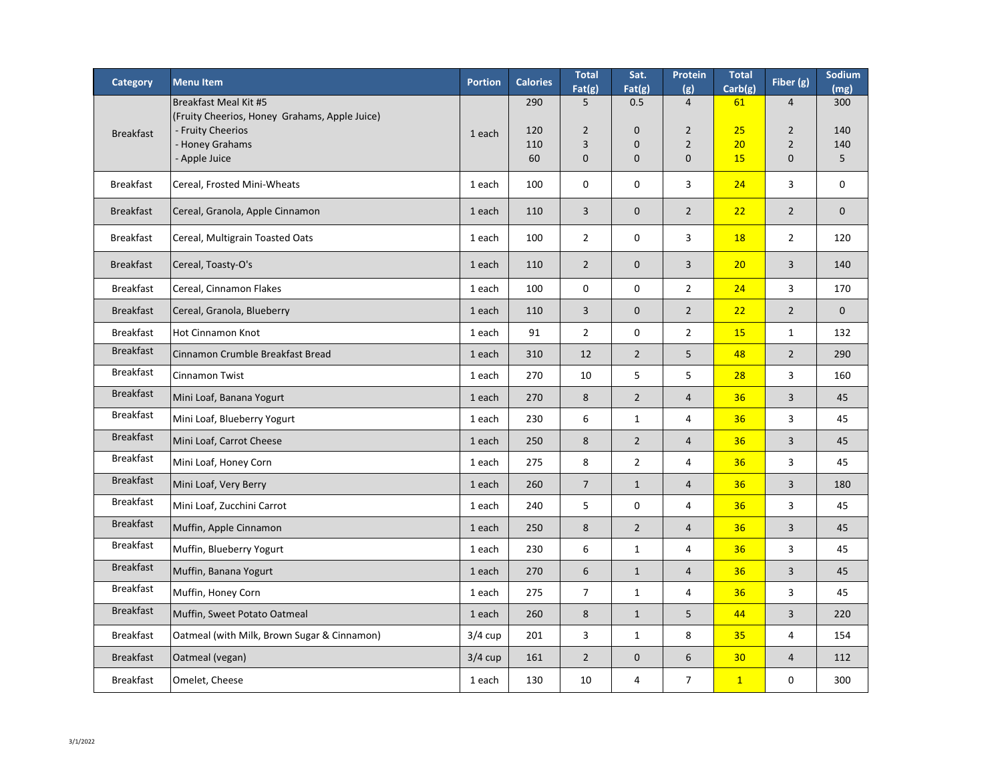| <b>Category</b>  | <b>Menu Item</b>                                                                                                              | <b>Portion</b> | <b>Calories</b>         | <b>Total</b><br>Fat(g)                       | Sat.<br>Fat(g)                                     | Protein<br>(g)                                                    | <b>Total</b><br>Carb(g)     | Fiber (g)                                                          | Sodium<br>(mg)         |
|------------------|-------------------------------------------------------------------------------------------------------------------------------|----------------|-------------------------|----------------------------------------------|----------------------------------------------------|-------------------------------------------------------------------|-----------------------------|--------------------------------------------------------------------|------------------------|
| <b>Breakfast</b> | Breakfast Meal Kit #5<br>(Fruity Cheerios, Honey Grahams, Apple Juice)<br>- Fruity Cheerios<br>- Honey Grahams<br>Apple Juice | 1 each         | 290<br>120<br>110<br>60 | 5<br>$\overline{2}$<br>3<br>$\boldsymbol{0}$ | 0.5<br>$\mathbf{0}$<br>$\mathbf 0$<br>$\mathbf{0}$ | $\overline{4}$<br>$\overline{2}$<br>$\overline{2}$<br>$\mathbf 0$ | 61<br>25<br>20<br><b>15</b> | $\overline{4}$<br>$\overline{2}$<br>$\overline{2}$<br>$\mathbf{0}$ | 300<br>140<br>140<br>5 |
| <b>Breakfast</b> | Cereal, Frosted Mini-Wheats                                                                                                   | 1 each         | 100                     | $\boldsymbol{0}$                             | $\mathbf 0$                                        | 3                                                                 | 24                          | 3                                                                  | $\mathbf 0$            |
| <b>Breakfast</b> | Cereal, Granola, Apple Cinnamon                                                                                               | 1 each         | 110                     | 3                                            | $\theta$                                           | $\overline{2}$                                                    | 22                          | $\overline{2}$                                                     | $\mathbf{0}$           |
| <b>Breakfast</b> | Cereal, Multigrain Toasted Oats                                                                                               | 1 each         | 100                     | $\overline{2}$                               | $\mathbf 0$                                        | 3                                                                 | <b>18</b>                   | $\overline{2}$                                                     | 120                    |
| <b>Breakfast</b> | Cereal, Toasty-O's                                                                                                            | 1 each         | 110                     | $\overline{2}$                               | $\overline{0}$                                     | 3                                                                 | 20                          | $\overline{3}$                                                     | 140                    |
| <b>Breakfast</b> | Cereal, Cinnamon Flakes                                                                                                       | 1 each         | 100                     | $\mathbf 0$                                  | $\mathbf 0$                                        | $\overline{2}$                                                    | 24                          | $\overline{3}$                                                     | 170                    |
| <b>Breakfast</b> | Cereal, Granola, Blueberry                                                                                                    | 1 each         | 110                     | 3                                            | $\theta$                                           | $\overline{2}$                                                    | 22                          | $\overline{2}$                                                     | $\mathbf{0}$           |
| <b>Breakfast</b> | <b>Hot Cinnamon Knot</b>                                                                                                      | 1 each         | 91                      | $\overline{2}$                               | $\mathbf 0$                                        | $\overline{2}$                                                    | <b>15</b>                   | $\mathbf{1}$                                                       | 132                    |
| <b>Breakfast</b> | Cinnamon Crumble Breakfast Bread                                                                                              | 1 each         | 310                     | 12                                           | $\overline{2}$                                     | 5                                                                 | 48                          | $\overline{2}$                                                     | 290                    |
| <b>Breakfast</b> | Cinnamon Twist                                                                                                                | 1 each         | 270                     | 10                                           | 5                                                  | 5                                                                 | 28                          | $\mathbf{3}$                                                       | 160                    |
| <b>Breakfast</b> | Mini Loaf, Banana Yogurt                                                                                                      | 1 each         | 270                     | 8                                            | $\overline{2}$                                     | $\overline{4}$                                                    | 36                          | $\mathbf{3}$                                                       | 45                     |
| <b>Breakfast</b> | Mini Loaf, Blueberry Yogurt                                                                                                   | 1 each         | 230                     | 6                                            | $\mathbf{1}$                                       | 4                                                                 | 36                          | $\mathbf{3}$                                                       | 45                     |
| <b>Breakfast</b> | Mini Loaf, Carrot Cheese                                                                                                      | 1 each         | 250                     | 8                                            | $\overline{2}$                                     | 4                                                                 | 36                          | $\overline{3}$                                                     | 45                     |
| <b>Breakfast</b> | Mini Loaf, Honey Corn                                                                                                         | 1 each         | 275                     | 8                                            | $\overline{2}$                                     | 4                                                                 | 36                          | 3                                                                  | 45                     |
| <b>Breakfast</b> | Mini Loaf, Very Berry                                                                                                         | 1 each         | 260                     | $\overline{7}$                               | $\mathbf{1}$                                       | 4                                                                 | 36                          | $\overline{3}$                                                     | 180                    |
| <b>Breakfast</b> | Mini Loaf, Zucchini Carrot                                                                                                    | 1 each         | 240                     | 5                                            | $\mathbf 0$                                        | 4                                                                 | 36                          | 3                                                                  | 45                     |
| <b>Breakfast</b> | Muffin, Apple Cinnamon                                                                                                        | 1 each         | 250                     | 8                                            | $\overline{2}$                                     | 4                                                                 | 36                          | $\overline{3}$                                                     | 45                     |
| <b>Breakfast</b> | Muffin, Blueberry Yogurt                                                                                                      | 1 each         | 230                     | 6                                            | $\mathbf{1}$                                       | 4                                                                 | 36                          | $\overline{3}$                                                     | 45                     |
| <b>Breakfast</b> | Muffin, Banana Yogurt                                                                                                         | 1 each         | 270                     | 6                                            | $\mathbf{1}$                                       | 4                                                                 | 36                          | $\overline{3}$                                                     | 45                     |
| <b>Breakfast</b> | Muffin, Honey Corn                                                                                                            | 1 each         | 275                     | $\overline{7}$                               | $\mathbf{1}$                                       | 4                                                                 | 36                          | 3                                                                  | 45                     |
| <b>Breakfast</b> | Muffin, Sweet Potato Oatmeal                                                                                                  | 1 each         | 260                     | 8                                            | $\mathbf{1}$                                       | 5                                                                 | 44                          | $\overline{3}$                                                     | 220                    |
| <b>Breakfast</b> | Oatmeal (with Milk, Brown Sugar & Cinnamon)                                                                                   | $3/4$ cup      | 201                     | 3                                            | $\mathbf{1}$                                       | 8                                                                 | 35                          | 4                                                                  | 154                    |
| <b>Breakfast</b> | Oatmeal (vegan)                                                                                                               | $3/4$ cup      | 161                     | $\overline{2}$                               | $\theta$                                           | 6                                                                 | 30 <sub>2</sub>             | $\overline{4}$                                                     | 112                    |
| <b>Breakfast</b> | Omelet, Cheese                                                                                                                | 1 each         | 130                     | 10                                           | 4                                                  | $\overline{7}$                                                    | $\mathbf{1}$                | $\mathbf 0$                                                        | 300                    |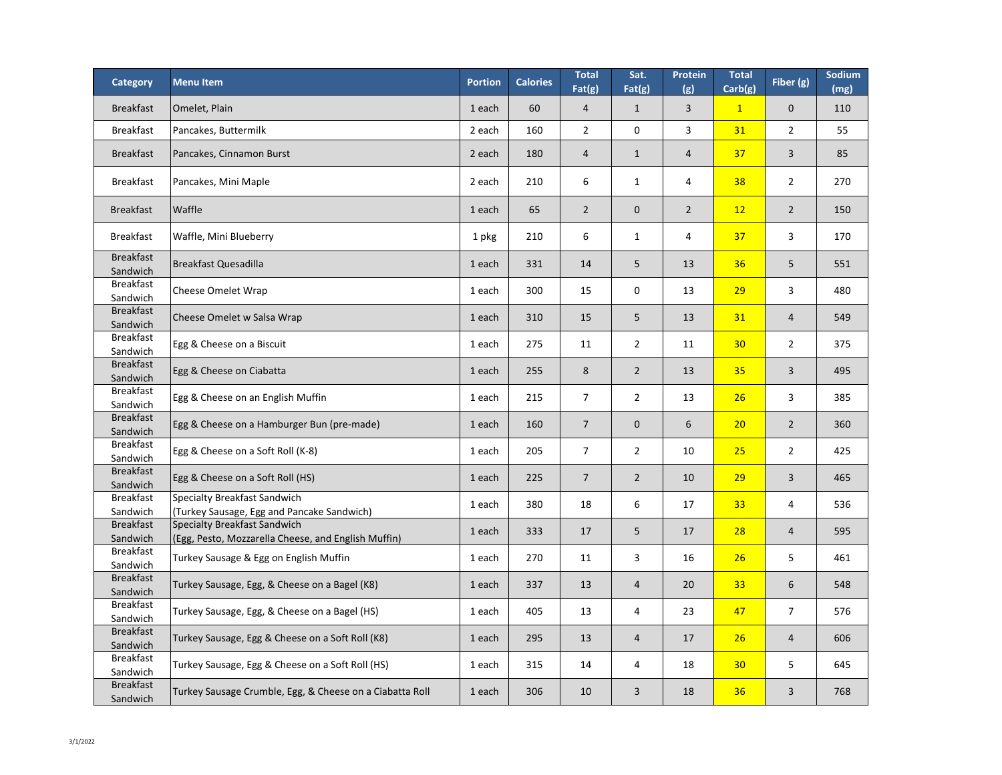| <b>Category</b>                          | <b>Menultem</b>                                                                               | <b>Portion</b> | <b>Calories</b> | <b>Total</b><br>Fat(g) | Sat.<br>Fat(g) | <b>Protein</b><br>(g) | <b>Total</b><br>Carb(g) | Fiber (g)      | Sodium<br>(mg) |
|------------------------------------------|-----------------------------------------------------------------------------------------------|----------------|-----------------|------------------------|----------------|-----------------------|-------------------------|----------------|----------------|
| <b>Breakfast</b>                         | Omelet, Plain                                                                                 | 1 each         | 60              | $\overline{4}$         | $\mathbf 1$    | $\overline{3}$        | $\mathbf{1}$            | $\mathbf 0$    | 110            |
| <b>Breakfast</b>                         | Pancakes, Buttermilk                                                                          | 2 each         | 160             | $\overline{2}$         | $\mathbf 0$    | $\mathbf{3}$          | 31                      | $\overline{2}$ | 55             |
| <b>Breakfast</b>                         | Pancakes, Cinnamon Burst                                                                      | 2 each         | 180             | $\overline{4}$         |                | $\overline{4}$        | 37                      | 3              | 85             |
| <b>Breakfast</b>                         | Pancakes, Mini Maple                                                                          | 2 each         | 210             | 6                      |                | 4                     | 38                      | $\overline{2}$ | 270            |
| <b>Breakfast</b>                         | <b>Waffle</b>                                                                                 | 1 each         | 65              | $\overline{2}$         | $\overline{0}$ | $2^{\circ}$           | 12                      | $\overline{2}$ | 150            |
| <b>Breakfast</b>                         | <b>Waffle, Mini Blueberry</b>                                                                 | 1 pkg          | 210             | 6                      | $\mathbf{1}$   | $\overline{4}$        | 37                      | 3              | 170            |
| <b>Breakfast</b><br>Sandwich             | <b>Breakfast Quesadilla</b>                                                                   | 1 each         | 331             | 14                     | 5              | 13                    | 36                      | 5              | 551            |
| <b>Breakfast</b><br>Sandwich             | <b>Cheese Omelet Wrap</b>                                                                     | 1 each         | 300             | 15                     | $\mathbf 0$    | 13                    | 29                      | $\overline{3}$ | 480            |
| <b>Breakfast</b><br>Sandwich             | Cheese Omelet w Salsa Wrap                                                                    | 1 each         | 310             | 15                     | 5              | 13                    | 31                      | $\overline{4}$ | 549            |
| <b>Breakfast</b><br>Sandwich             | Egg & Cheese on a Biscuit                                                                     | 1 each         | 275             | 11                     | $\overline{2}$ | 11                    | 30 <sub>o</sub>         | $\overline{2}$ | 375            |
| <b>Breakfast</b><br>Sandwich             | Egg & Cheese on Ciabatta                                                                      | 1 each         | 255             | 8                      | $\mathcal{P}$  | 13                    | 35                      | $\overline{3}$ | 495            |
| <b>Breakfast</b><br>Sandwich             | Egg & Cheese on an English Muffin                                                             | 1 each         | 215             | $\overline{7}$         | $\overline{2}$ | 13                    | 26                      | $\overline{3}$ | 385            |
| <b>Breakfast</b><br>Sandwich             | Egg & Cheese on a Hamburger Bun (pre-made)                                                    | 1 each         | 160             | $\overline{7}$         | $\overline{0}$ | 6                     | 20                      | $\overline{2}$ | 360            |
| <b>Breakfast</b><br>Sandwich             | Egg & Cheese on a Soft Roll (K-8)                                                             | 1 each         | 205             | $\overline{7}$         | $\overline{2}$ | 10                    | 25                      | $\overline{2}$ | 425            |
| <b>Breakfast</b><br>Sandwich             | Egg & Cheese on a Soft Roll (HS)                                                              | 1 each         | 225             | $\overline{7}$         | $2^{\circ}$    | 10                    | 29                      | $\overline{3}$ | 465            |
| <b>Breakfast</b><br>Sandwich             | <b>Specialty Breakfast Sandwich</b><br>(Turkey Sausage, Egg and Pancake Sandwich)             | 1 each         | 380             | 18                     | 6              | 17                    | 33                      | $\overline{4}$ | 536            |
| <b>Breakfast</b>                         | <b>Specialty Breakfast Sandwich</b>                                                           | 1 each         | 333             | 17                     | 5              | 17                    | 28                      | $\overline{4}$ | 595            |
| Sandwich<br><b>Breakfast</b>             | (Egg, Pesto, Mozzarella Cheese, and English Muffin)<br>Turkey Sausage & Egg on English Muffin | 1 each         | 270             | 11                     | $\mathbf{3}$   | 16                    | 26                      | 5              | 461            |
| Sandwich<br><b>Breakfast</b><br>Sandwich | Turkey Sausage, Egg, & Cheese on a Bagel (K8)                                                 | 1 each         | 337             | 13                     | $\overline{4}$ | 20                    | 33                      | 6              | 548            |
| <b>Breakfast</b><br>Sandwich             | Turkey Sausage, Egg, & Cheese on a Bagel (HS)                                                 | 1 each         | 405             | 13                     | $\overline{4}$ | 23                    | 47                      | $\overline{7}$ | 576            |
| <b>Breakfast</b><br>Sandwich             | Turkey Sausage, Egg & Cheese on a Soft Roll (K8)                                              | 1 each         | 295             | 13                     | $\overline{4}$ | 17                    | 26                      | $\overline{4}$ | 606            |
| <b>Breakfast</b><br>Sandwich             | Turkey Sausage, Egg & Cheese on a Soft Roll (HS)                                              | 1 each         | 315             | 14                     | 4              | 18                    | 30 <sub>o</sub>         | 5              | 645            |
| <b>Breakfast</b><br>Sandwich             | Turkey Sausage Crumble, Egg, & Cheese on a Ciabatta Roll                                      | 1 each         | 306             | 10                     | $\mathbf{3}$   | 18                    | 36                      | $\overline{3}$ | 768            |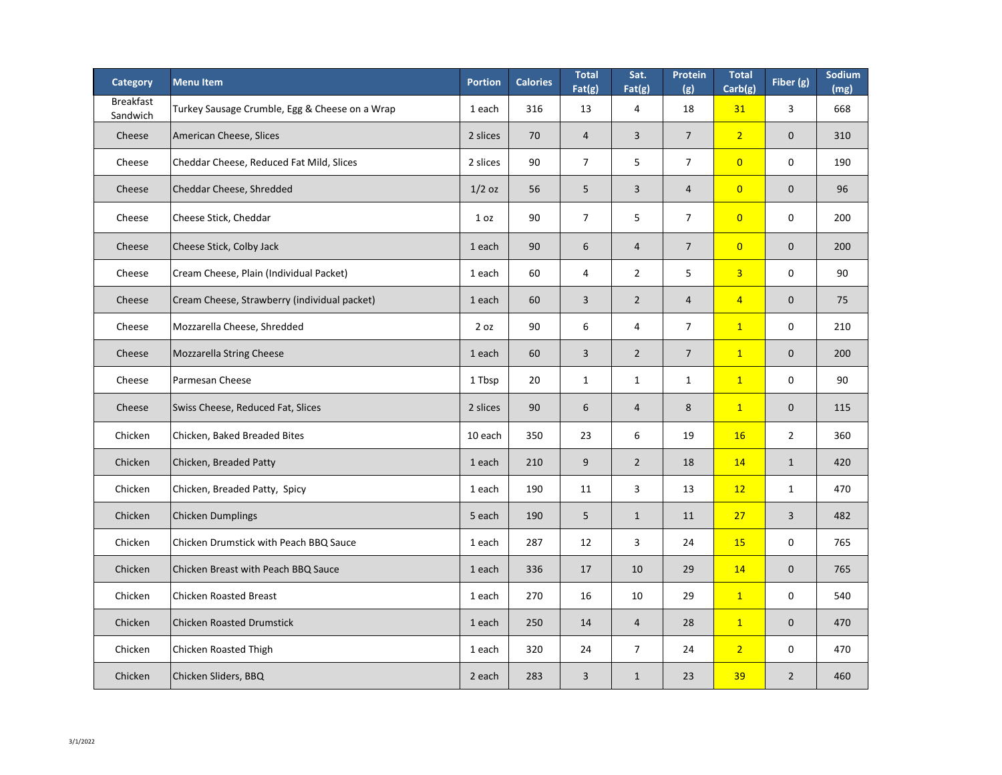| <b>Category</b>              | <b>Menultem</b>                                | <b>Portion</b>  | <b>Calories</b> | <b>Total</b><br>Fat(g) | Sat.<br>Fat(g) | Protein<br>(g) | <b>Total</b><br>Carb(g) | Fiber (g)        | Sodium<br>(mg) |
|------------------------------|------------------------------------------------|-----------------|-----------------|------------------------|----------------|----------------|-------------------------|------------------|----------------|
| <b>Breakfast</b><br>Sandwich | Turkey Sausage Crumble, Egg & Cheese on a Wrap | 1 each          | 316             | 13                     | $\overline{4}$ | 18             | 31                      | $\overline{3}$   | 668            |
| Cheese                       | American Cheese, Slices                        | 2 slices        | 70              | $\overline{4}$         | $\overline{3}$ | $\overline{7}$ | $\overline{2}$          | $\overline{0}$   | 310            |
| Cheese                       | Cheddar Cheese, Reduced Fat Mild, Slices       | 2 slices        | 90              | $\overline{7}$         | 5              | $\overline{7}$ | $\overline{0}$          | $\mathbf 0$      | 190            |
| Cheese                       | Cheddar Cheese, Shredded                       | $1/2$ oz        | 56              | 5                      | 3              | $\overline{4}$ | $\overline{0}$          | $\theta$         | 96             |
| Cheese                       | Cheese Stick, Cheddar                          | 1 <sub>oz</sub> | 90              | $\overline{7}$         | 5              | $\overline{7}$ | $\overline{0}$          | $\mathbf 0$      | 200            |
| Cheese                       | Cheese Stick, Colby Jack                       | 1 each          | 90              | 6                      | $\overline{4}$ | $\overline{7}$ | $\overline{0}$          | $\theta$         | 200            |
| Cheese                       | Cream Cheese, Plain (Individual Packet)        | 1 each          | 60              | $\overline{4}$         | $\overline{2}$ | 5              | $\overline{3}$          | $\mathbf 0$      | 90             |
| Cheese                       | Cream Cheese, Strawberry (individual packet)   | 1 each          | 60              | $\overline{3}$         | $\overline{2}$ | $\overline{4}$ | $\overline{4}$          | $\overline{0}$   | 75             |
| Cheese                       | Mozzarella Cheese, Shredded                    | 2 oz            | 90              | 6                      | 4              | $\overline{7}$ | $\mathbf{1}$            | $\mathbf 0$      | 210            |
| Cheese                       | Mozzarella String Cheese                       | 1 each          | 60              | $\overline{3}$         | $\overline{2}$ | $\overline{7}$ | $\mathbf{1}$            | $\overline{0}$   | 200            |
| Cheese                       | Parmesan Cheese                                | 1 Tbsp          | 20              | $\mathbf{1}$           | $\mathbf{1}$   | $\mathbf{1}$   | $\mathbf{1}$            | $\boldsymbol{0}$ | 90             |
| Cheese                       | Swiss Cheese, Reduced Fat, Slices              | 2 slices        | 90              | 6                      | $\overline{4}$ | 8              | $\mathbf{1}$            | $\theta$         | 115            |
| Chicken                      | Chicken, Baked Breaded Bites                   | 10 each         | 350             | 23                     | $6\,$          | 19             | <b>16</b>               | $\overline{2}$   | 360            |
| Chicken                      | Chicken, Breaded Patty                         | 1 each          | 210             | 9                      | $\overline{2}$ | 18             | <b>14</b>               | $\mathbf{1}$     | 420            |
| Chicken                      | Chicken, Breaded Patty, Spicy                  | 1 each          | 190             | 11                     | $\mathbf{3}$   | 13             | 12                      | $\mathbf{1}$     | 470            |
| Chicken                      | <b>Chicken Dumplings</b>                       | 5 each          | 190             | 5                      | $\mathbf{1}$   | 11             | 27                      | $\overline{3}$   | 482            |
| Chicken                      | <b>Chicken Drumstick with Peach BBQ Sauce</b>  | 1 each          | 287             | 12                     | $\mathbf{3}$   | 24             | <b>15</b>               | $\mathbf 0$      | 765            |
| Chicken                      | Chicken Breast with Peach BBQ Sauce            | 1 each          | 336             | 17                     | 10             | 29             | 14                      | $\mathbf{0}$     | 765            |
| Chicken                      | <b>Chicken Roasted Breast</b>                  | 1 each          | 270             | 16                     | 10             | 29             | $\boxed{1}$             | $\mathbf 0$      | 540            |
| Chicken                      | <b>Chicken Roasted Drumstick</b>               | 1 each          | 250             | 14                     | $\overline{4}$ | 28             | $\mathbf{1}$            | $\mathbf{0}$     | 470            |
| Chicken                      | <b>Chicken Roasted Thigh</b>                   | 1 each          | 320             | 24                     | $\overline{7}$ | 24             | $\overline{2}$          | $\mathbf 0$      | 470            |
| Chicken                      | Chicken Sliders, BBQ                           | 2 each          | 283             | 3                      | $\mathbf{1}$   | 23             | 39                      | $\overline{2}$   | 460            |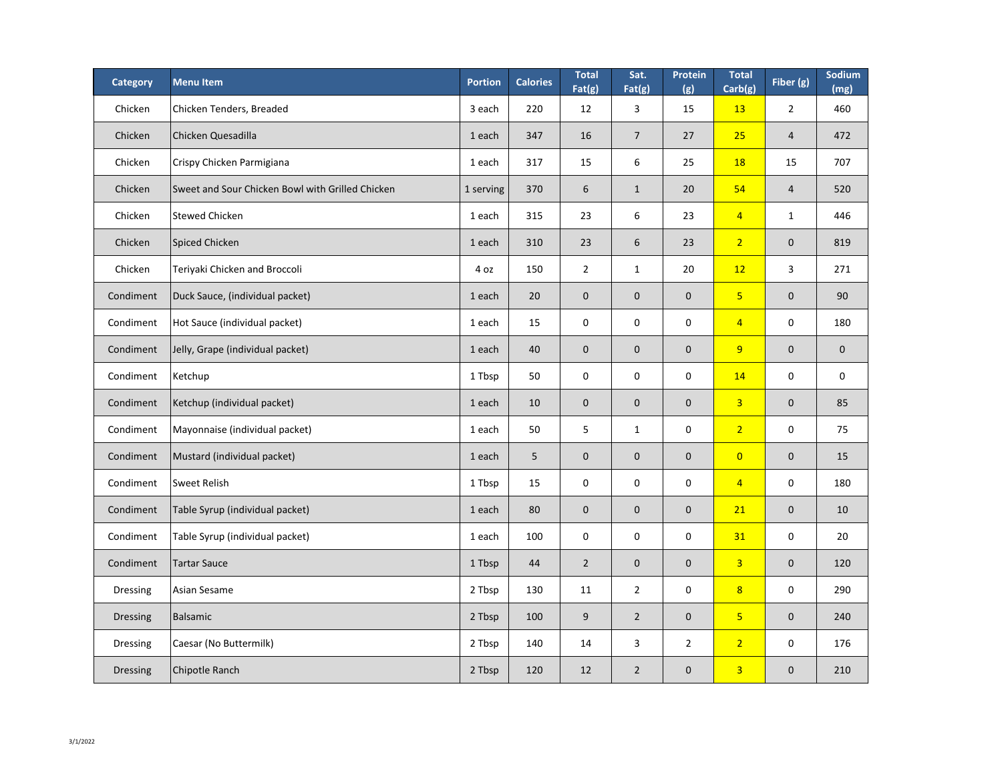| <b>Category</b> | <b>Menu Item</b>                                 | <b>Portion</b> | <b>Calories</b> | <b>Total</b><br>Fat(g) | Sat.<br>Fat(g) | Protein<br>(g)   | <b>Total</b><br>Carb(g) | Fiber (g)      | Sodium<br>(mg)   |
|-----------------|--------------------------------------------------|----------------|-----------------|------------------------|----------------|------------------|-------------------------|----------------|------------------|
| Chicken         | Chicken Tenders, Breaded                         | 3 each         | 220             | 12                     | 3              | 15               | <b>13</b>               | $2^{\circ}$    | 460              |
| Chicken         | Chicken Quesadilla                               | 1 each         | 347             | 16                     | $\overline{7}$ | 27               | 25                      | $\overline{4}$ | 472              |
| Chicken         | Crispy Chicken Parmigiana                        | 1 each         | 317             | 15                     | 6              | 25               | <b>18</b>               | 15             | 707              |
| Chicken         | Sweet and Sour Chicken Bowl with Grilled Chicken | 1 serving      | 370             | 6                      | $\mathbf{1}$   | 20               | 54                      | $\overline{4}$ | 520              |
| Chicken         | Stewed Chicken                                   | 1 each         | 315             | 23                     | 6              | 23               | $\overline{4}$          | $\mathbf{1}$   | 446              |
| Chicken         | Spiced Chicken                                   | 1 each         | 310             | 23                     | 6              | 23               | $\overline{2}$          | $\mathbf{0}$   | 819              |
| Chicken         | Teriyaki Chicken and Broccoli                    | 4 oz           | 150             | $\overline{2}$         | $\mathbf{1}$   | 20               | 12                      | $\overline{3}$ | 271              |
| Condiment       | Duck Sauce, (individual packet)                  | 1 each         | 20              | $\overline{0}$         | $\overline{0}$ | $\boldsymbol{0}$ | 5 <sup>1</sup>          | $\mathbf{0}$   | 90               |
| Condiment       | Hot Sauce (individual packet)                    | 1 each         | 15              | $\mathbf 0$            | $\overline{0}$ | $\mathbf 0$      | $\overline{4}$          | $\mathbf 0$    | 180              |
| Condiment       | Jelly, Grape (individual packet)                 | 1 each         | 40              | $\overline{0}$         | $\overline{0}$ | $\mathbf 0$      | 9                       | $\mathbf{0}$   | $\overline{0}$   |
| Condiment       | Ketchup                                          | 1 Tbsp         | 50              | $\mathbf 0$            | $\mathbf 0$    | $\boldsymbol{0}$ | 14                      | $\mathbf 0$    | $\boldsymbol{0}$ |
| Condiment       | Ketchup (individual packet)                      | 1 each         | 10              | $\overline{0}$         | $\overline{0}$ | $\boldsymbol{0}$ | $\overline{3}$          | $\mathbf 0$    | 85               |
| Condiment       | Mayonnaise (individual packet)                   | 1 each         | 50              | 5                      |                | $\boldsymbol{0}$ | 2 <sup>1</sup>          | $\mathbf 0$    | 75               |
| Condiment       | Mustard (individual packet)                      | 1 each         | 5               | $\mathbf 0$            | $\overline{0}$ | $\boldsymbol{0}$ | $\overline{0}$          | $\mathbf 0$    | 15               |
| Condiment       | Sweet Relish                                     | 1 Tbsp         | 15              | $\boldsymbol{0}$       | $\mathbf 0$    | $\boldsymbol{0}$ | $\overline{4}$          | $\mathbf 0$    | 180              |
| Condiment       | Table Syrup (individual packet)                  | 1 each         | 80              | $\overline{0}$         | $\overline{0}$ | $\boldsymbol{0}$ | 21                      | $\mathbf 0$    | 10               |
| Condiment       | Table Syrup (individual packet)                  | 1 each         | 100             | $\boldsymbol{0}$       | $\mathbf 0$    | $\boldsymbol{0}$ | 31                      | $\mathbf 0$    | 20               |
| Condiment       | <b>Tartar Sauce</b>                              | 1 Tbsp         | 44              | $\overline{2}$         | $\overline{0}$ | $\boldsymbol{0}$ | $\overline{3}$          | $\mathbf 0$    | 120              |
| Dressing        | Asian Sesame                                     | 2 Tbsp         | 130             | 11                     | $\overline{2}$ | $\boldsymbol{0}$ | 8 <sup>2</sup>          | $\mathbf 0$    | 290              |
| <b>Dressing</b> | Balsamic                                         | 2 Tbsp         | 100             | 9                      | $2^{\circ}$    | $\boldsymbol{0}$ | 5 <sup>1</sup>          | $\mathbf 0$    | 240              |
| <b>Dressing</b> | Caesar (No Buttermilk)                           | 2 Tbsp         | 140             | 14                     | $\overline{3}$ | $\overline{2}$   | 2 <sup>1</sup>          | $\mathbf 0$    | 176              |
| <b>Dressing</b> | Chipotle Ranch                                   | 2 Tbsp         | 120             | 12                     | $2^{\circ}$    | $\boldsymbol{0}$ | 3                       | $\mathbf{0}$   | 210              |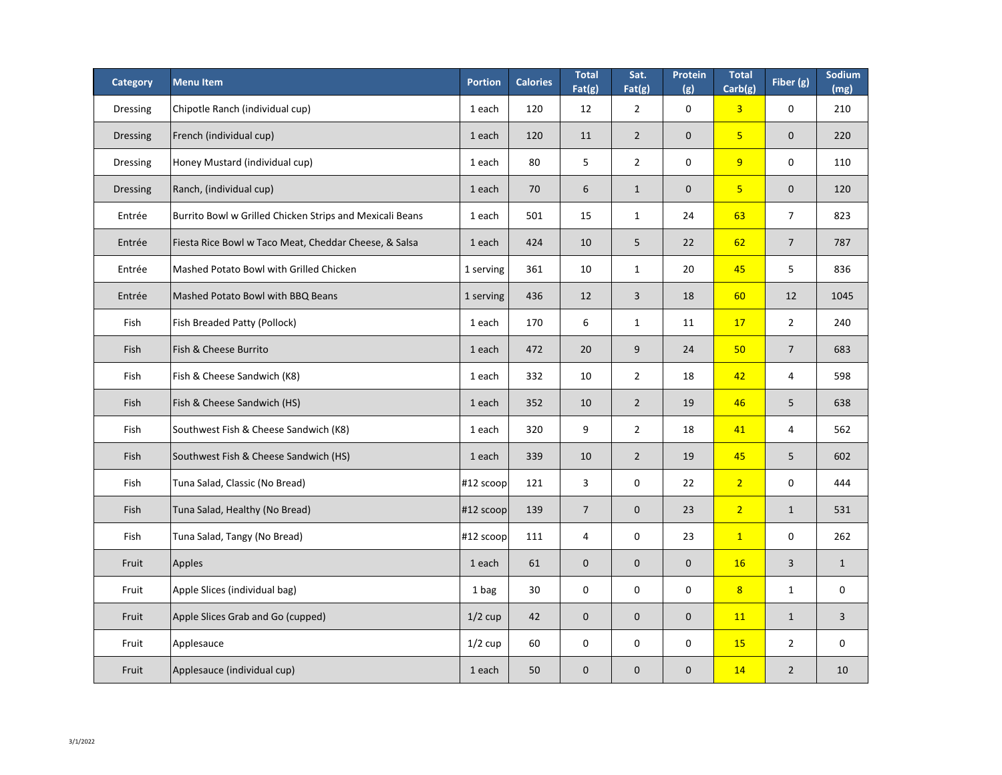| <b>Category</b> | <b>Menultem</b>                                          | <b>Portion</b> | <b>Calories</b> | <b>Total</b><br>Fat(g) | Sat.<br>Fat(g) | <b>Protein</b><br>(g) | <b>Total</b><br>Carb(g) | Fiber (g)      | Sodium<br>(mg) |
|-----------------|----------------------------------------------------------|----------------|-----------------|------------------------|----------------|-----------------------|-------------------------|----------------|----------------|
| <b>Dressing</b> | Chipotle Ranch (individual cup)                          | 1 each         | 120             | 12                     | $\overline{2}$ | $\mathbf 0$           | 3 <sup>1</sup>          | $\mathbf 0$    | 210            |
| <b>Dressing</b> | French (individual cup)                                  | 1 each         | 120             | 11                     | $\overline{2}$ | $\overline{0}$        | 5 <sub>1</sub>          | $\mathbf 0$    | 220            |
| <b>Dressing</b> | Honey Mustard (individual cup)                           | 1 each         | 80              | 5                      | $2^{\circ}$    | $\mathbf 0$           | 9                       | $\mathbf 0$    | 110            |
| <b>Dressing</b> | Ranch, (individual cup)                                  | 1 each         | 70              | 6                      | $\mathbf{1}$   | $\overline{0}$        | 5 <sub>1</sub>          | $\mathbf 0$    | 120            |
| Entrée          | Burrito Bowl w Grilled Chicken Strips and Mexicali Beans | 1 each         | 501             | 15                     | $\mathbf{1}$   | 24                    | 63                      | $\overline{7}$ | 823            |
| Entrée          | Fiesta Rice Bowl w Taco Meat, Cheddar Cheese, & Salsa    | 1 each         | 424             | 10                     | 5 <sup>1</sup> | 22                    | 62                      | $\overline{7}$ | 787            |
| Entrée          | Mashed Potato Bowl with Grilled Chicken                  | 1 serving      | 361             | 10                     | $\mathbf{1}$   | 20                    | 45                      | 5              | 836            |
| Entrée          | Mashed Potato Bowl with BBQ Beans                        | 1 serving      | 436             | 12                     | $\overline{3}$ | 18                    | 60                      | 12             | 1045           |
| Fish            | <b>Fish Breaded Patty (Pollock)</b>                      | 1 each         | 170             | 6                      | $\mathbf{1}$   | 11                    | 17                      | $\overline{2}$ | 240            |
| Fish            | <b>Fish &amp; Cheese Burrito</b>                         | 1 each         | 472             | 20                     | 9              | 24                    | 50 <sub>2</sub>         | $\overline{7}$ | 683            |
| Fish            | Fish & Cheese Sandwich (K8)                              | 1 each         | 332             | 10                     | $\overline{2}$ | 18                    | 42                      | 4              | 598            |
| Fish            | <b>Fish &amp; Cheese Sandwich (HS)</b>                   | 1 each         | 352             | 10                     | $2^{\circ}$    | 19                    | 46                      | 5              | 638            |
| Fish            | Southwest Fish & Cheese Sandwich (K8)                    | 1 each         | 320             | 9                      | $\overline{2}$ | 18                    | 41                      | $\overline{4}$ | 562            |
| Fish            | Southwest Fish & Cheese Sandwich (HS)                    | 1 each         | 339             | 10                     | $2^{\circ}$    | 19                    | 45                      | 5              | 602            |
| Fish            | Tuna Salad, Classic (No Bread)                           | $ #12$ scoop   | 121             | $\mathsf{3}$           | $\mathbf 0$    | 22                    | 2 <sup>1</sup>          | $\mathbf 0$    | 444            |
| Fish            | Tuna Salad, Healthy (No Bread)                           | $ #12$ scoop   | 139             | $\overline{7}$         | $\overline{0}$ | 23                    | $\overline{2}$          | $\mathbf{1}$   | 531            |
| Fish            | Tuna Salad, Tangy (No Bread)                             | $ #12$ scoop   | 111             | 4                      | $\mathbf 0$    | 23                    | $\mathbf{1}$            | $\mathbf 0$    | 262            |
| Fruit           | Apples                                                   | 1 each         | 61              | $\mathbf{0}$           | $\overline{0}$ | $\overline{0}$        | <b>16</b>               | 3              | $\mathbf{1}$   |
| Fruit           | Apple Slices (individual bag)                            | 1 bag          | 30              | $\mathbf 0$            | $\mathbf 0$    | $\mathbf 0$           | 8                       | $\mathbf{1}$   | $\mathbf 0$    |
| Fruit           | Apple Slices Grab and Go (cupped)                        | $1/2$ cup      | 42              | $\mathbf{0}$           | $\overline{0}$ | $\overline{0}$        | <b>11</b>               | $\mathbf{1}$   | $\mathbf{3}$   |
| Fruit           | Applesauce                                               | $1/2$ cup      | 60              | $\mathbf 0$            | $\mathbf 0$    | $\mathbf 0$           | <b>15</b>               | $\overline{2}$ | $\mathbf 0$    |
| Fruit           | Applesauce (individual cup)                              | 1 each         | 50              | $\overline{0}$         | $\overline{0}$ | $\overline{0}$        | 14                      | $\overline{2}$ | 10             |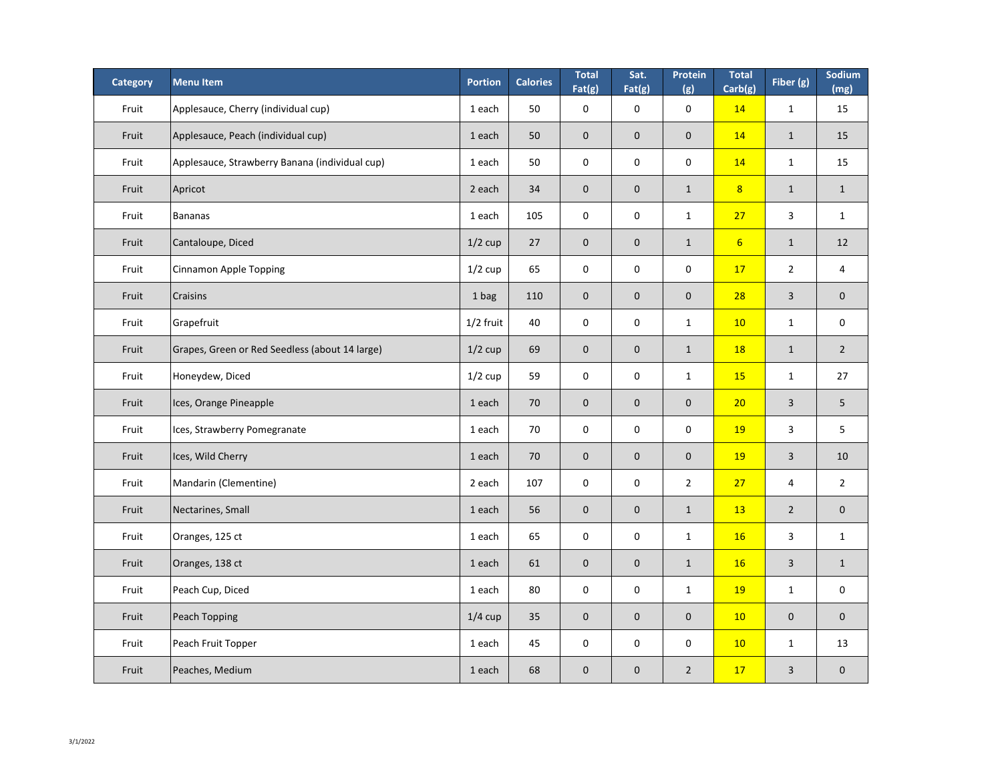| <b>Category</b> | <b>Menu Item</b>                               | <b>Portion</b> | <b>Calories</b> | <b>Total</b><br>Fat(g) | Sat.<br>Fat(g) | <b>Protein</b><br>(g) | <b>Total</b><br>Carb(g) | Fiber (g)      | Sodium<br>(mg) |
|-----------------|------------------------------------------------|----------------|-----------------|------------------------|----------------|-----------------------|-------------------------|----------------|----------------|
| Fruit           | Applesauce, Cherry (individual cup)            | 1 each         | 50              | $\mathbf 0$            | $\overline{0}$ | $\mathbf 0$           | 14                      | $\mathbf{1}$   | 15             |
| Fruit           | Applesauce, Peach (individual cup)             | 1 each         | 50              | $\overline{0}$         | $\overline{0}$ | $\overline{0}$        | 14                      | $\mathbf{1}$   | 15             |
| Fruit           | Applesauce, Strawberry Banana (individual cup) | 1 each         | 50              | $\mathbf 0$            | $\mathbf 0$    | $\mathbf 0$           | 14                      | $\mathbf{1}$   | 15             |
| Fruit           | Apricot                                        | 2 each         | 34              | $\overline{0}$         | $\overline{0}$ | $\mathbf{1}$          | 8 <sup>1</sup>          | $\mathbf{1}$   | $\mathbf{1}$   |
| Fruit           | Bananas                                        | 1 each         | 105             | $\mathbf 0$            | $\mathbf 0$    | $\mathbf{1}$          | 27                      | $\overline{3}$ | $\mathbf{1}$   |
| Fruit           | Cantaloupe, Diced                              | $1/2$ cup      | 27              | $\mathbf{0}$           | $\overline{0}$ | $\mathbf{1}$          | 6 <sup>1</sup>          | $\mathbf{1}$   | 12             |
| Fruit           | <b>Cinnamon Apple Topping</b>                  | $1/2$ cup      | 65              | $\mathbf 0$            | $\mathbf 0$    | $\mathbf 0$           | 17                      | $\overline{2}$ | $\overline{4}$ |
| Fruit           | <b>Craisins</b>                                | 1 bag          | 110             | $\overline{0}$         | $\overline{0}$ | $\overline{0}$        | 28                      | 3              | $\mathbf{0}$   |
| Fruit           | Grapefruit                                     | $1/2$ fruit    | 40              | $\mathbf 0$            | $\mathbf 0$    | $\mathbf{1}$          | 10                      | $\mathbf{1}$   | $\mathbf 0$    |
| Fruit           | Grapes, Green or Red Seedless (about 14 large) | $1/2$ cup      | 69              | $\mathbf{0}$           | $\overline{0}$ | $\mathbf{1}$          | <b>18</b>               | $\mathbf{1}$   | $\overline{2}$ |
| Fruit           | Honeydew, Diced                                | $1/2$ cup      | 59              | $\mathbf{0}$           | $\bf{0}$       | $\mathbf{1}$          | 15                      | $\mathbf{1}$   | 27             |
| Fruit           | Ices, Orange Pineapple                         | 1 each         | 70              | $\mathbf{0}$           | $\overline{0}$ | $\overline{0}$        | 20                      | 3              | 5 <sup>1</sup> |
| Fruit           | Ices, Strawberry Pomegranate                   | 1 each         | 70              | $\mathbf 0$            | $\mathbf 0$    | $\mathbf 0$           | <b>19</b>               | 3              | 5 <sup>5</sup> |
| Fruit           | Ices, Wild Cherry                              | 1 each         | 70              | $\overline{0}$         | $\overline{0}$ | $\overline{0}$        | <b>19</b>               | 3              | 10             |
| Fruit           | Mandarin (Clementine)                          | 2 each         | 107             | $\mathbf 0$            | $\mathbf 0$    | $\overline{2}$        | 27                      | $\overline{4}$ | $2^{\circ}$    |
| Fruit           | Nectarines, Small                              | 1 each         | 56              | $\overline{0}$         | $\overline{0}$ | $\mathbf{1}$          | <b>13</b>               | $\overline{2}$ | $\mathbf{0}$   |
| Fruit           | Oranges, 125 ct                                | 1 each         | 65              | $\mathbf 0$            | $\mathbf 0$    | $\mathbf{1}$          | <b>16</b>               | 3              | $\mathbf{1}$   |
| Fruit           | Oranges, 138 ct                                | 1 each         | 61              | $\mathbf 0$            | $\overline{0}$ | $\mathbf{1}$          | 16                      | 3              | $\mathbf{1}$   |
| Fruit           | Peach Cup, Diced                               | 1 each         | 80              | $\mathbf 0$            | $\mathbf 0$    | $\mathbf{1}$          | <b>19</b>               | $\mathbf{1}$   | $\mathbf 0$    |
| Fruit           | <b>Peach Topping</b>                           | $1/4$ cup      | 35              | $\mathbf{0}$           | $\overline{0}$ | $\overline{0}$        | 10                      | $\mathbf 0$    | $\mathbf{0}$   |
| Fruit           | Peach Fruit Topper                             | 1 each         | 45              | $\mathbf 0$            | $\mathbf 0$    | $\mathbf 0$           | 10                      | $\mathbf{1}$   | 13             |
| Fruit           | Peaches, Medium                                | 1 each         | 68              | $\overline{0}$         | $\overline{0}$ | $2^{\circ}$           | 17                      | $\overline{3}$ | $\overline{0}$ |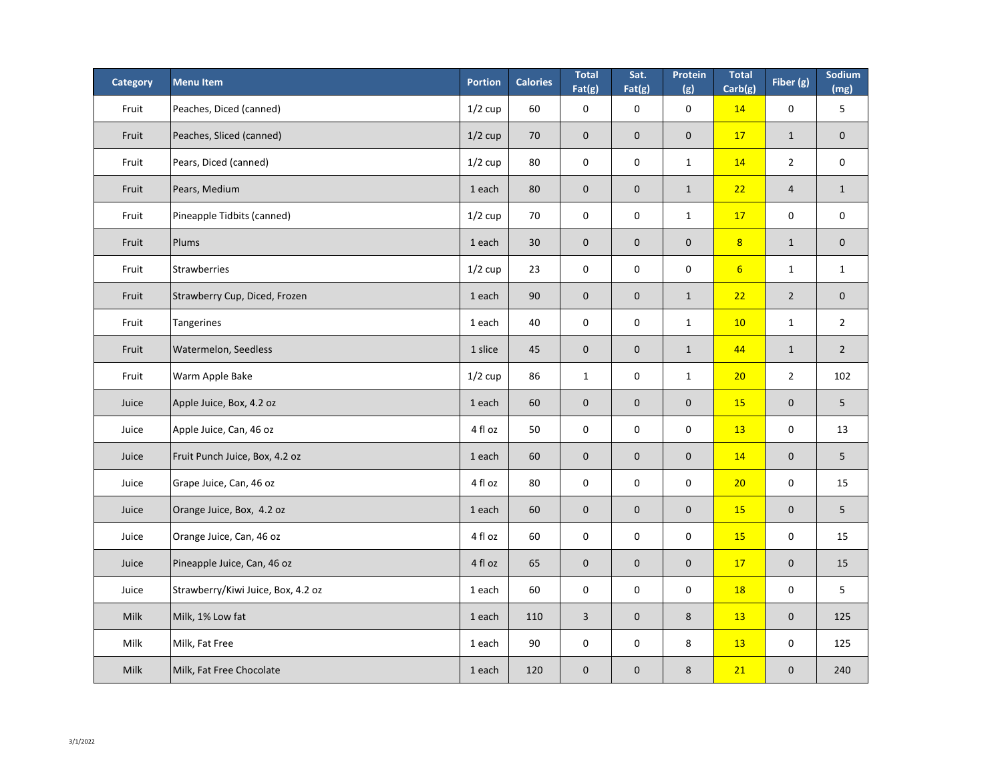| <b>Category</b> | <b>Menu Item</b>                   | <b>Portion</b> | <b>Calories</b> | <b>Total</b><br>Fat(g)  | Sat.<br>Fat(g) | Protein<br>(g) | <b>Total</b><br>Carb(g) | Fiber (g)      | Sodium<br>(mg) |
|-----------------|------------------------------------|----------------|-----------------|-------------------------|----------------|----------------|-------------------------|----------------|----------------|
| Fruit           | Peaches, Diced (canned)            | $1/2$ cup      | 60              | $\mathbf 0$             | $\mathbf 0$    | $\mathbf 0$    | 14                      | $\overline{0}$ | 5              |
| Fruit           | Peaches, Sliced (canned)           | $1/2$ cup      | 70              | $\overline{0}$          | $\overline{0}$ | $\overline{0}$ | 17                      | $\mathbf{1}$   | $\mathbf 0$    |
| Fruit           | Pears, Diced (canned)              | $1/2$ cup      | 80              | $\mathbf 0$             | $\mathbf 0$    | $\mathbf{1}$   | 14                      | $\overline{2}$ | $\mathbf 0$    |
| Fruit           | Pears, Medium                      | 1 each         | 80              | $\overline{0}$          | $\overline{0}$ | $\mathbf{1}$   | 22                      | $\overline{4}$ | $\mathbf{1}$   |
| Fruit           | Pineapple Tidbits (canned)         | $1/2$ cup      | 70              | $\mathbf 0$             | $\mathbf 0$    | $\mathbf{1}$   | 17                      | $\mathbf 0$    | $\mathbf 0$    |
| Fruit           | Plums                              | 1 each         | 30              | $\mathbf 0$             | $\overline{0}$ | $\overline{0}$ | 8 <sup>2</sup>          | $\mathbf{1}$   | $\mathbf 0$    |
| Fruit           | Strawberries                       | $1/2$ cup      | 23              | $\mathbf 0$             | $\mathbf 0$    | $\mathbf 0$    | $6 \overline{6}$        | $\mathbf{1}$   | $\mathbf 1$    |
| Fruit           | Strawberry Cup, Diced, Frozen      | 1 each         | 90              | $\overline{0}$          | $\overline{0}$ | $\mathbf{1}$   | 22                      | $\overline{2}$ | $\overline{0}$ |
| Fruit           | <b>Tangerines</b>                  | 1 each         | 40              | $\mathbf 0$             | $\mathbf 0$    | $\mathbf{1}$   | 10                      | $\mathbf{1}$   | $\overline{2}$ |
| Fruit           | <b>Watermelon, Seedless</b>        | 1 slice        | 45              | $\overline{0}$          | $\overline{0}$ | $\mathbf{1}$   | 44                      | $\mathbf{1}$   | $\overline{2}$ |
| Fruit           | <b>Warm Apple Bake</b>             | $1/2$ cup      | 86              | $\mathbf{1}$            | $\mathbf 0$    | $\mathbf{1}$   | 20                      | $2^{\circ}$    | 102            |
| Juice           | Apple Juice, Box, 4.2 oz           | 1 each         | 60              | $\overline{0}$          | $\overline{0}$ | $\overline{0}$ | <b>15</b>               | $\mathbf{0}$   | 5              |
| Juice           | Apple Juice, Can, 46 oz            | 4 fl oz        | 50              | $\mathbf 0$             | $\mathbf 0$    | $\mathbf 0$    | <b>13</b>               | $\mathbf 0$    | 13             |
| Juice           | Fruit Punch Juice, Box, 4.2 oz     | 1 each         | 60              | $\mathbf 0$             | $\overline{0}$ | $\mathbf{0}$   | 14                      | $\overline{0}$ | 5              |
| Juice           | Grape Juice, Can, 46 oz            | 4 fl oz        | 80              | $\mathsf{O}\phantom{0}$ | $\mathbf 0$    | $\mathbf 0$    | 20                      | $\mathbf 0$    | 15             |
| Juice           | Orange Juice, Box, 4.2 oz          | 1 each         | 60              | $\mathbf{0}$            | $\overline{0}$ | $\mathbf{0}$   | <b>15</b>               | $\overline{0}$ | 5              |
| Juice           | Orange Juice, Can, 46 oz           | 4 fl oz        | 60              | $\mathbf 0$             | $\mathbf 0$    | $\mathbf 0$    | <b>15</b>               | $\overline{0}$ | 15             |
| Juice           | Pineapple Juice, Can, 46 oz        | 4 fl oz        | 65              | $\overline{0}$          | $\overline{0}$ | $\mathbf{0}$   | 17                      | $\overline{0}$ | 15             |
| Juice           | Strawberry/Kiwi Juice, Box, 4.2 oz | 1 each         | 60              | $\mathbf 0$             | $\mathbf 0$    | $\mathbf 0$    | <b>18</b>               | $\mathbf 0$    | 5              |
| Milk            | Milk, 1% Low fat                   | 1 each         | 110             | $\overline{3}$          | $\overline{0}$ | 8              | <b>13</b>               | $\overline{0}$ | 125            |
| Milk            | Milk, Fat Free                     | 1 each         | 90              | $\mathbf 0$             | $\mathbf 0$    | 8              | 13                      | $\mathbf 0$    | 125            |
| <b>Milk</b>     | Milk, Fat Free Chocolate           | 1 each         | 120             | $\mathbf{0}$            | $\overline{0}$ | 8              | 21                      | $\overline{0}$ | 240            |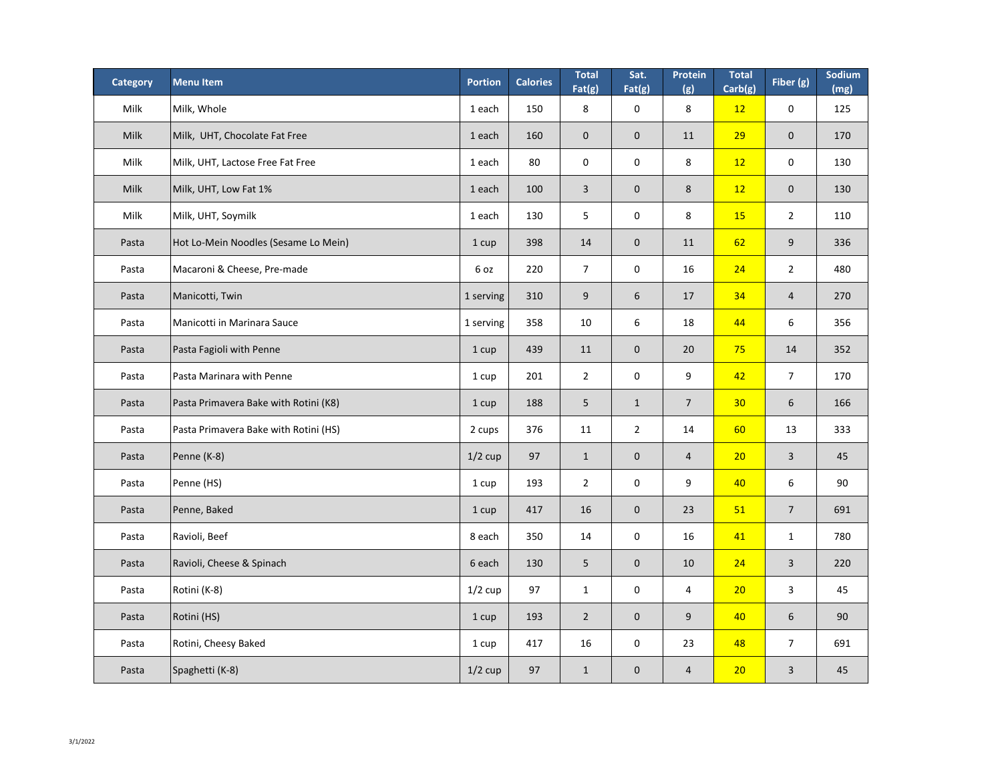| <b>Category</b> | <b>Menu Item</b>                      | <b>Portion</b> | <b>Calories</b> | <b>Total</b><br>Fat(g) | Sat.<br>Fat(g) | <b>Protein</b><br>(g) | <b>Total</b><br>Carb(g) | Fiber (g)        | Sodium<br>(mg) |
|-----------------|---------------------------------------|----------------|-----------------|------------------------|----------------|-----------------------|-------------------------|------------------|----------------|
| Milk            | Milk, Whole                           | 1 each         | 150             | 8                      | $\mathbf 0$    | 8                     | 12                      | $\mathbf 0$      | 125            |
| <b>Milk</b>     | Milk, UHT, Chocolate Fat Free         | 1 each         | 160             | $\overline{0}$         | $\overline{0}$ | 11                    | 29                      | $\boldsymbol{0}$ | 170            |
| Milk            | Milk, UHT, Lactose Free Fat Free      | 1 each         | 80              | $\mathbf 0$            | $\mathbf 0$    | 8                     | 12                      | $\mathbf 0$      | 130            |
| <b>Milk</b>     | Milk, UHT, Low Fat 1%                 | 1 each         | 100             | $\overline{3}$         | $\overline{0}$ | 8                     | 12                      | $\boldsymbol{0}$ | 130            |
| Milk            | Milk, UHT, Soymilk                    | 1 each         | 130             | 5                      | $\mathbf 0$    | 8                     | <b>15</b>               | $\overline{2}$   | 110            |
| Pasta           | Hot Lo-Mein Noodles (Sesame Lo Mein)  | 1 cup          | 398             | 14                     | $\overline{0}$ | 11                    | 62                      | 9                | 336            |
| Pasta           | Macaroni & Cheese, Pre-made           | 6 oz           | 220             | $\overline{7}$         | $\mathbf 0$    | 16                    | 24                      | $\overline{2}$   | 480            |
| Pasta           | Manicotti, Twin                       | 1 serving      | 310             | 9                      | 6              | 17                    | 34                      | $\overline{4}$   | 270            |
| Pasta           | Manicotti in Marinara Sauce           | 1 serving      | 358             | 10                     | 6              | 18                    | 44                      | 6                | 356            |
| Pasta           | Pasta Fagioli with Penne              | 1 cup          | 439             | 11                     | $\overline{0}$ | 20                    | 75                      | 14               | 352            |
| Pasta           | Pasta Marinara with Penne             | 1 cup          | 201             | $\overline{2}$         | $\bf{0}$       | 9                     | 42                      | 7                | 170            |
| Pasta           | Pasta Primavera Bake with Rotini (K8) | 1 cup          | 188             | 5                      | $\mathbf{1}$   | $\overline{7}$        | 30 <sub>2</sub>         | $6 \overline{6}$ | 166            |
| Pasta           | Pasta Primavera Bake with Rotini (HS) | 2 cups         | 376             | 11                     | $2^{\circ}$    | 14                    | 60                      | 13               | 333            |
| Pasta           | Penne (K-8)                           | $1/2$ cup      | 97              | $\mathbf{1}$           | $\overline{0}$ | $\overline{4}$        | 20                      | $\overline{3}$   | 45             |
| Pasta           | Penne (HS)                            | 1 cup          | 193             | $\overline{2}$         | $\mathbf 0$    | 9                     | 40                      | $6\,$            | 90             |
| Pasta           | Penne, Baked                          | 1 cup          | 417             | 16                     | $\overline{0}$ | 23                    | 51                      | $\overline{7}$   | 691            |
| Pasta           | Ravioli, Beef                         | 8 each         | 350             | 14                     | $\mathbf 0$    | 16                    | 41                      | $\mathbf{1}$     | 780            |
| Pasta           | Ravioli, Cheese & Spinach             | 6 each         | 130             | 5                      | $\overline{0}$ | 10                    | 24                      | 3                | 220            |
| Pasta           | Rotini (K-8)                          | $1/2$ cup      | 97              | $\mathbf{1}$           | $\mathbf 0$    | 4                     | 20                      | 3                | 45             |
| Pasta           | Rotini (HS)                           | 1 cup          | 193             | $\overline{2}$         | $\overline{0}$ | 9                     | 40                      | 6                | 90             |
| Pasta           | Rotini, Cheesy Baked                  | 1 cup          | 417             | 16                     | $\mathbf 0$    | 23                    | 48                      | $\overline{7}$   | 691            |
| Pasta           | Spaghetti (K-8)                       | $1/2$ cup      | 97              | $\mathbf{1}$           | $\overline{0}$ | $\overline{4}$        | 20                      | 3                | 45             |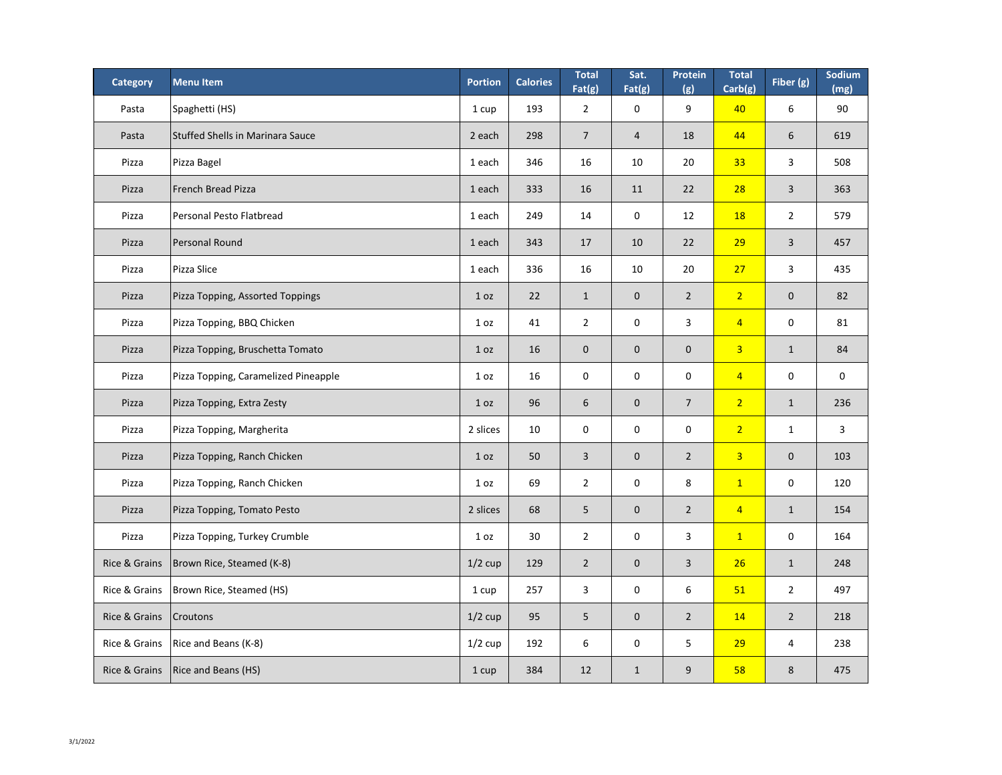| <b>Category</b>          | <b>Menu Item</b>                        | <b>Portion</b>  | <b>Calories</b> | <b>Total</b><br>Fat(g) | Sat.<br>Fat(g) | Protein<br>(g) | <b>Total</b><br>Carb(g) | Fiber (g)      | Sodium<br>(mg) |
|--------------------------|-----------------------------------------|-----------------|-----------------|------------------------|----------------|----------------|-------------------------|----------------|----------------|
| Pasta                    | Spaghetti (HS)                          | 1 cup           | 193             | $\overline{2}$         | $\mathbf 0$    | 9              | 40                      | 6              | 90             |
| Pasta                    | <b>Stuffed Shells in Marinara Sauce</b> | 2 each          | 298             | $\overline{7}$         | $\overline{4}$ | 18             | 44                      | 6              | 619            |
| Pizza                    | Pizza Bagel                             | 1 each          | 346             | 16                     | 10             | 20             | 33 <sub>o</sub>         | $\mathsf{3}$   | 508            |
| Pizza                    | <b>French Bread Pizza</b>               | 1 each          | 333             | 16                     | 11             | 22             | 28                      | $\overline{3}$ | 363            |
| Pizza                    | Personal Pesto Flatbread                | 1 each          | 249             | 14                     | $\mathbf 0$    | 12             | <b>18</b>               | $2^{\circ}$    | 579            |
| Pizza                    | Personal Round                          | 1 each          | 343             | 17                     | 10             | 22             | 29                      | $\overline{3}$ | 457            |
| Pizza                    | Pizza Slice                             | 1 each          | 336             | 16                     | 10             | 20             | 27                      | $\overline{3}$ | 435            |
| Pizza                    | <b>Pizza Topping, Assorted Toppings</b> | 1 <sub>oz</sub> | 22              | $\mathbf{1}$           | $\overline{0}$ | $\overline{2}$ | $\overline{2}$          | $\overline{0}$ | 82             |
| Pizza                    | Pizza Topping, BBQ Chicken              | 1 <sub>oz</sub> | 41              | $\overline{2}$         | $\mathbf 0$    | $\overline{3}$ | $\sqrt{4}$              | $\mathbf 0$    | 81             |
| Pizza                    | Pizza Topping, Bruschetta Tomato        | 1 <sub>oz</sub> | 16              | $\overline{0}$         | $\overline{0}$ | $\overline{0}$ | 3 <sup>1</sup>          | $\mathbf{1}$   | 84             |
| Pizza                    | Pizza Topping, Caramelized Pineapple    | 1 <sub>oz</sub> | 16              | $\mathbf 0$            | $\mathbf 0$    | $\mathbf 0$    | $\overline{4}$          | $\mathbf 0$    | $\mathbf 0$    |
| Pizza                    | Pizza Topping, Extra Zesty              | 1 oz            | 96              | 6                      | $\overline{0}$ | $\overline{7}$ | $\overline{2}$          | $\mathbf{1}$   | 236            |
| Pizza                    | Pizza Topping, Margherita               | 2 slices        | 10              | $\mathbf 0$            | $\mathbf 0$    | $\mathbf 0$    | $\overline{2}$          | $\mathbf{1}$   | $\overline{3}$ |
| Pizza                    | Pizza Topping, Ranch Chicken            | 1 oz            | 50              | $\overline{3}$         | $\mathbf{0}$   | $\overline{2}$ | 3 <sup>1</sup>          | $\mathbf{0}$   | 103            |
| Pizza                    | Pizza Topping, Ranch Chicken            | 1 <sub>oz</sub> | 69              | $\overline{2}$         | $\mathbf 0$    | 8              | $\boxed{1}$             | $\mathbf 0$    | 120            |
| Pizza                    | Pizza Topping, Tomato Pesto             | 2 slices        | 68              | $5\phantom{.}$         | $\mathbf{0}$   | $\overline{2}$ | $\overline{4}$          | $\mathbf{1}$   | 154            |
| Pizza                    | Pizza Topping, Turkey Crumble           | 1 <sub>oz</sub> | 30              | $\overline{2}$         | $\mathbf 0$    | $\mathbf{3}$   | $\mathbf{1}$            | $\mathbf 0$    | 164            |
| Rice & Grains            | Brown Rice, Steamed (K-8)               | $1/2$ cup       | 129             | $\overline{2}$         | $\mathbf{0}$   | $\overline{3}$ | 26                      | $\mathbf{1}$   | 248            |
| Rice & Grains            | Brown Rice, Steamed (HS)                | 1 cup           | 257             | $\overline{3}$         | $\mathbf 0$    | 6              | 51                      | $\overline{2}$ | 497            |
| <b>Rice &amp; Grains</b> | <b>Croutons</b>                         | $1/2$ cup       | 95              | 5                      | $\overline{0}$ | $\overline{2}$ | 14                      | $\overline{2}$ | 218            |
| Rice & Grains            | Rice and Beans (K-8)                    | $1/2$ cup       | 192             | 6                      | $\mathbf 0$    | 5              | 29                      | $\overline{4}$ | 238            |
|                          | Rice & Grains   Rice and Beans (HS)     | 1 cup           | 384             | 12                     | $\mathbf{1}$   | 9              | 58                      | 8              | 475            |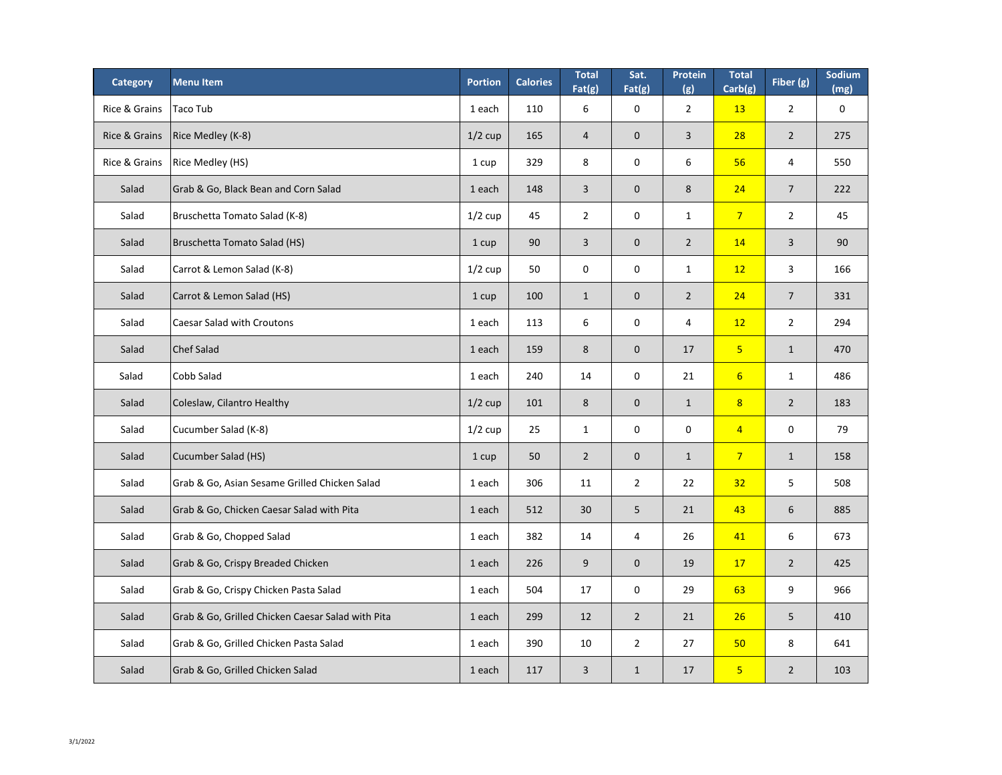| <b>Category</b>          | <b>Menultem</b>                                   | <b>Portion</b> | <b>Calories</b> | <b>Total</b><br>Fat(g) | Sat.<br>Fat(g) | Protein<br>(g) | <b>Total</b><br>Carb(g) | Fiber (g)      | <b>Sodium</b><br>(mg) |
|--------------------------|---------------------------------------------------|----------------|-----------------|------------------------|----------------|----------------|-------------------------|----------------|-----------------------|
| <b>Rice &amp; Grains</b> | Taco Tub                                          | 1 each         | 110             | 6                      | $\mathbf 0$    | $\overline{2}$ | <b>13</b>               | $\overline{2}$ | $\mathbf 0$           |
| <b>Rice &amp; Grains</b> | <b>Rice Medley (K-8)</b>                          | $1/2$ cup      | 165             | $\overline{4}$         | $\overline{0}$ | $\overline{3}$ | 28                      | $\overline{2}$ | 275                   |
| <b>Rice &amp; Grains</b> | <b>Rice Medley (HS)</b>                           | 1 cup          | 329             | 8                      | $\mathbf 0$    | 6              | 56                      | $\overline{4}$ | 550                   |
| Salad                    | Grab & Go, Black Bean and Corn Salad              | 1 each         | 148             | $\overline{3}$         | $\overline{0}$ | 8              | 24                      | $\overline{7}$ | 222                   |
| Salad                    | Bruschetta Tomato Salad (K-8)                     | $1/2$ cup      | 45              | $\overline{2}$         | $\mathbf 0$    | $\mathbf{1}$   | $\overline{7}$          | $\overline{2}$ | 45                    |
| Salad                    | <b>Bruschetta Tomato Salad (HS)</b>               | 1 cup          | 90              | 3                      | $\overline{0}$ | $\overline{2}$ | 14                      | $\overline{3}$ | 90                    |
| Salad                    | Carrot & Lemon Salad (K-8)                        | $1/2$ cup      | 50              | $\overline{0}$         | $\mathbf 0$    | $\mathbf{1}$   | 12                      | $\overline{3}$ | 166                   |
| Salad                    | Carrot & Lemon Salad (HS)                         | 1 cup          | 100             | $\mathbf 1$            | $\overline{0}$ | $\overline{2}$ | 24                      | $\overline{7}$ | 331                   |
| Salad                    | <b>Caesar Salad with Croutons</b>                 | 1 each         | 113             | 6                      | $\mathbf 0$    | $\overline{4}$ | 12                      | $\overline{2}$ | 294                   |
| Salad                    | <b>Chef Salad</b>                                 | 1 each         | 159             | 8                      | $\overline{0}$ | 17             | 5 <sup>1</sup>          | $\mathbf{1}$   | 470                   |
| Salad                    | Cobb Salad                                        | 1 each         | 240             | 14                     | $\mathbf 0$    | 21             | $6 \overline{6}$        | $\mathbf{1}$   | 486                   |
| Salad                    | Coleslaw, Cilantro Healthy                        | $1/2$ cup      | 101             | 8                      | $\overline{0}$ | $\mathbf{1}$   | 8 <sup>2</sup>          | $\overline{2}$ | 183                   |
| Salad                    | Cucumber Salad (K-8)                              | $1/2$ cup      | 25              | $\mathbf{1}$           | $\mathbf 0$    | $\mathbf 0$    | $\overline{4}$          | $\mathbf 0$    | 79                    |
| Salad                    | Cucumber Salad (HS)                               | 1 cup          | 50              | $\overline{2}$         | $\overline{0}$ | $\mathbf{1}$   | $\overline{7}$          | $\mathbf{1}$   | 158                   |
| Salad                    | Grab & Go, Asian Sesame Grilled Chicken Salad     | 1 each         | 306             | 11                     | $2^{\circ}$    | 22             | 32                      | 5              | 508                   |
| Salad                    | Grab & Go, Chicken Caesar Salad with Pita         | 1 each         | 512             | 30                     | 5 <sup>1</sup> | 21             | 43                      | 6              | 885                   |
| Salad                    | Grab & Go, Chopped Salad                          | 1 each         | 382             | 14                     | 4              | 26             | 41                      | 6              | 673                   |
| Salad                    | Grab & Go, Crispy Breaded Chicken                 | 1 each         | 226             | 9                      | $\overline{0}$ | 19             | 17                      | 2 <sup>2</sup> | 425                   |
| Salad                    | Grab & Go, Crispy Chicken Pasta Salad             | 1 each         | 504             | 17                     | $\mathbf 0$    | 29             | 63                      | 9              | 966                   |
| Salad                    | Grab & Go, Grilled Chicken Caesar Salad with Pita | 1 each         | 299             | 12                     | $2^{\circ}$    | 21             | 26                      | 5              | 410                   |
| Salad                    | Grab & Go, Grilled Chicken Pasta Salad            | 1 each         | 390             | 10                     | $2^{\circ}$    | 27             | 50                      | 8              | 641                   |
| Salad                    | Grab & Go, Grilled Chicken Salad                  | 1 each         | 117             | $\overline{3}$         | $\mathbf{1}$   | 17             | 5 <sub>o</sub>          | $\overline{2}$ | 103                   |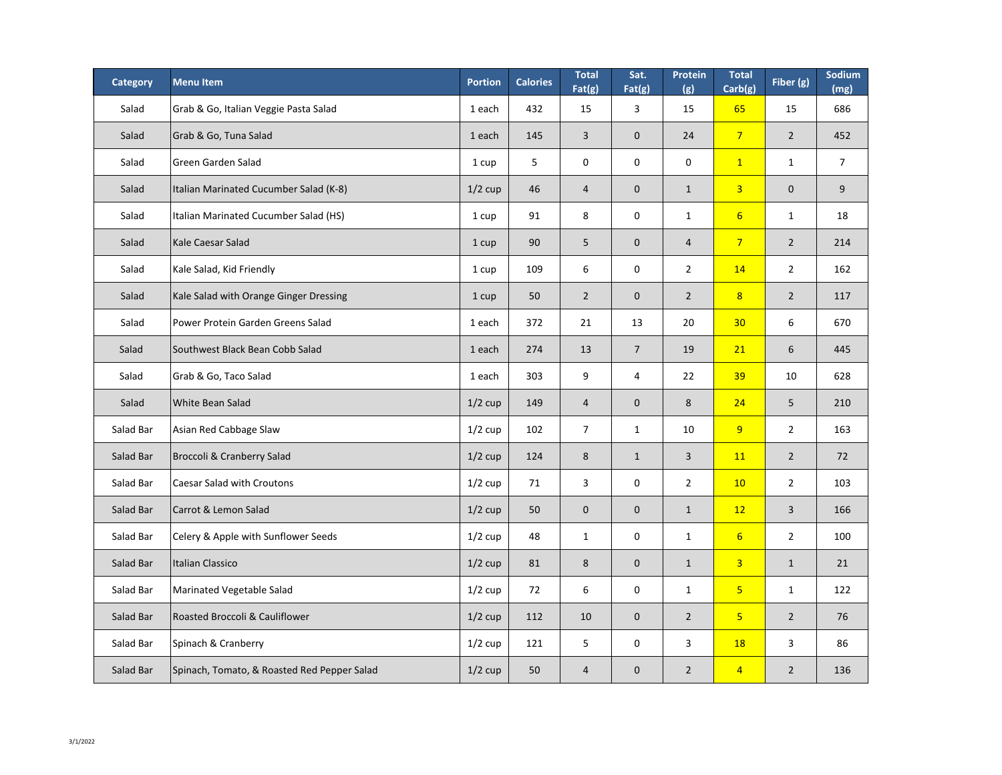| <b>Category</b> | <b>Menu Item</b>                            | <b>Portion</b> | <b>Calories</b> | <b>Total</b><br>Fat(g) | Sat.<br>Fat(g)   | Protein<br>(g) | <b>Total</b><br>Carb(g) | Fiber (g)      | Sodium<br>(mg) |
|-----------------|---------------------------------------------|----------------|-----------------|------------------------|------------------|----------------|-------------------------|----------------|----------------|
| Salad           | Grab & Go, Italian Veggie Pasta Salad       | 1 each         | 432             | 15                     | 3                | 15             | 65                      | 15             | 686            |
| Salad           | Grab & Go, Tuna Salad                       | 1 each         | 145             | $\overline{3}$         | $\overline{0}$   | 24             | $\overline{7}$          | $\overline{2}$ | 452            |
| Salad           | <b>Green Garden Salad</b>                   | 1 cup          | 5               | $\mathbf 0$            | $\mathbf 0$      | $\mathbf 0$    | $\overline{1}$          | $\mathbf{1}$   | $\overline{7}$ |
| Salad           | Italian Marinated Cucumber Salad (K-8)      | $1/2$ cup      | 46              | $\overline{4}$         | $\theta$         | $\mathbf{1}$   | $\overline{3}$          | $\mathbf 0$    | 9              |
| Salad           | Italian Marinated Cucumber Salad (HS)       | 1 cup          | 91              | 8                      | $\mathbf 0$      | $\mathbf{1}$   | $6 \overline{6}$        | $\mathbf{1}$   | 18             |
| Salad           | <b>Kale Caesar Salad</b>                    | 1 cup          | 90              | 5                      | $\theta$         | $\overline{4}$ | $\overline{7}$          | $\overline{2}$ | 214            |
| Salad           | Kale Salad, Kid Friendly                    | 1 cup          | 109             | 6                      | $\boldsymbol{0}$ | $\overline{2}$ | <b>14</b>               | $\overline{2}$ | 162            |
| Salad           | Kale Salad with Orange Ginger Dressing      | 1 cup          | 50              | $\overline{2}$         | $\theta$         | $\overline{2}$ | 8 <sup>2</sup>          | $\overline{2}$ | 117            |
| Salad           | Power Protein Garden Greens Salad           | 1 each         | 372             | 21                     | 13               | 20             | 30                      | 6              | 670            |
| Salad           | Southwest Black Bean Cobb Salad             | 1 each         | 274             | 13                     | $\overline{7}$   | 19             | 21                      | 6              | 445            |
| Salad           | Grab & Go, Taco Salad                       | 1 each         | 303             | 9                      | 4                | 22             | 39                      | 10             | 628            |
| Salad           | White Bean Salad                            | $1/2$ cup      | 149             | $\overline{4}$         | $\boldsymbol{0}$ | 8              | 24                      | 5 <sup>1</sup> | 210            |
| Salad Bar       | Asian Red Cabbage Slaw                      | $1/2$ cup      | 102             | $\overline{7}$         | $\mathbf{1}$     | 10             | 9                       | $\overline{2}$ | 163            |
| Salad Bar       | <b>Broccoli &amp; Cranberry Salad</b>       | $1/2$ cup      | 124             | 8                      | $\mathbf{1}$     | $\overline{3}$ | <b>11</b>               | $\overline{2}$ | 72             |
| Salad Bar       | <b>Caesar Salad with Croutons</b>           | $1/2$ cup      | 71              | $\overline{3}$         | $\mathbf 0$      | $\overline{2}$ | 10                      | $\overline{2}$ | 103            |
| Salad Bar       | Carrot & Lemon Salad                        | $1/2$ cup      | 50              | $\overline{0}$         | $\boldsymbol{0}$ | $\mathbf{1}$   | 12                      | $\overline{3}$ | 166            |
| Salad Bar       | Celery & Apple with Sunflower Seeds         | $1/2$ cup      | 48              | $\mathbf{1}$           | $\pmb{0}$        | $\mathbf{1}$   | $6 \overline{6}$        | $\overline{2}$ | 100            |
| Salad Bar       | Italian Classico                            | $1/2$ cup      | 81              | 8                      | $\overline{0}$   | $\mathbf{1}$   | $\overline{3}$          | $\mathbf{1}$   | 21             |
| Salad Bar       | <b>Marinated Vegetable Salad</b>            | $1/2$ cup      | 72              | 6                      | $\mathbf 0$      | $\mathbf{1}$   | 5 <sub>5</sub>          | $\mathbf{1}$   | 122            |
| Salad Bar       | <b>Roasted Broccoli &amp; Cauliflower</b>   | $1/2$ cup      | 112             | 10                     | $\mathbf 0$      | $\overline{2}$ | 5 <sub>5</sub>          | $\overline{2}$ | 76             |
| Salad Bar       | Spinach & Cranberry                         | $1/2$ cup      | 121             | 5                      | $\mathbf 0$      | $\mathsf{3}$   | <b>18</b>               | $\mathsf{3}$   | 86             |
| Salad Bar       | Spinach, Tomato, & Roasted Red Pepper Salad | $1/2$ cup      | 50              | $\overline{4}$         | $\boldsymbol{0}$ | $\overline{2}$ | $\overline{4}$          | $\overline{2}$ | 136            |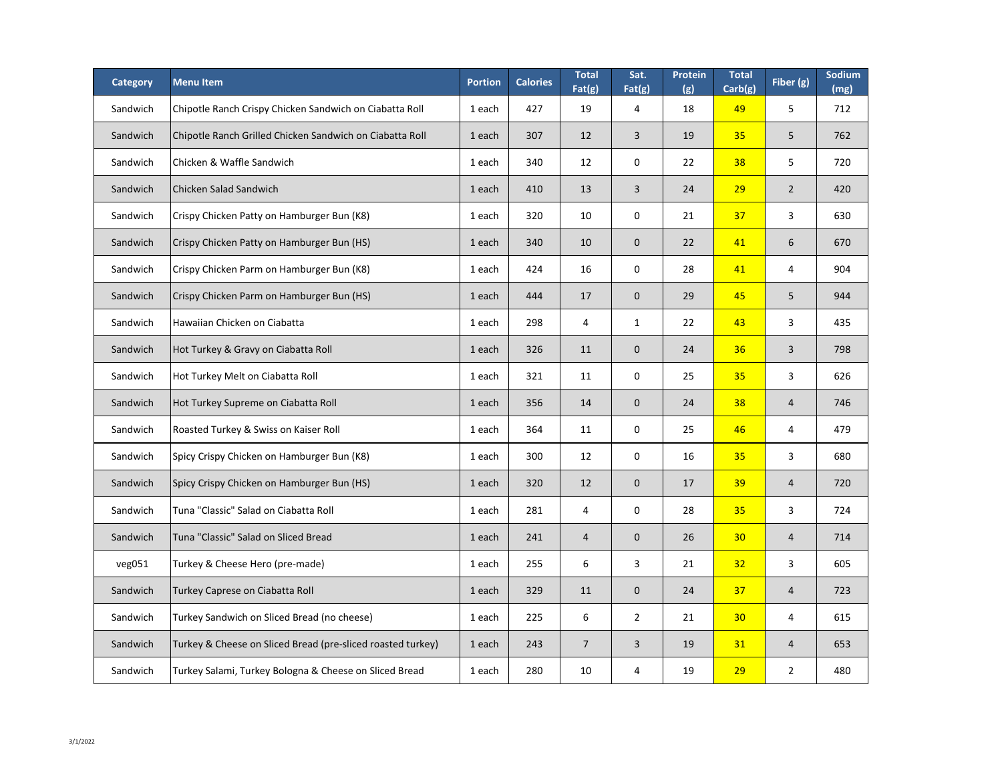| <b>Category</b> | <b>Menu Item</b>                                            | <b>Portion</b> | <b>Calories</b> | <b>Total</b><br>Fat(g) | Sat.<br>Fat(g)   | Protein<br>(g) | <b>Total</b><br>Carb(g) | Fiber (g)      | <b>Sodium</b><br>(mg) |
|-----------------|-------------------------------------------------------------|----------------|-----------------|------------------------|------------------|----------------|-------------------------|----------------|-----------------------|
| Sandwich        | Chipotle Ranch Crispy Chicken Sandwich on Ciabatta Roll     | 1 each         | 427             | 19                     | 4                | 18             | 49                      | 5              | 712                   |
| Sandwich        | Chipotle Ranch Grilled Chicken Sandwich on Ciabatta Roll    | 1 each         | 307             | 12                     | $\overline{3}$   | 19             | 35                      | 5              | 762                   |
| Sandwich        | Chicken & Waffle Sandwich                                   | 1 each         | 340             | 12                     | $\mathbf 0$      | 22             | 38                      | 5              | 720                   |
| Sandwich        | Chicken Salad Sandwich                                      | 1 each         | 410             | 13                     | 3                | 24             | 29                      | $\overline{2}$ | 420                   |
| Sandwich        | Crispy Chicken Patty on Hamburger Bun (K8)                  | 1 each         | 320             | 10                     | $\mathbf 0$      | 21             | 37                      | $\overline{3}$ | 630                   |
| Sandwich        | Crispy Chicken Patty on Hamburger Bun (HS)                  | 1 each         | 340             | 10                     | $\overline{0}$   | 22             | 41                      | 6              | 670                   |
| Sandwich        | Crispy Chicken Parm on Hamburger Bun (K8)                   | 1 each         | 424             | 16                     | $\mathbf 0$      | 28             | 41                      | 4              | 904                   |
| Sandwich        | Crispy Chicken Parm on Hamburger Bun (HS)                   | 1 each         | 444             | 17                     | $\theta$         | 29             | 45                      | 5              | 944                   |
| Sandwich        | Hawaiian Chicken on Ciabatta                                | 1 each         | 298             | $\overline{4}$         | $\mathbf{1}$     | 22             | 43                      | $\overline{3}$ | 435                   |
| Sandwich        | Hot Turkey & Gravy on Ciabatta Roll                         | 1 each         | 326             | 11                     | $\theta$         | 24             | 36                      | $\overline{3}$ | 798                   |
| Sandwich        | Hot Turkey Melt on Ciabatta Roll                            | 1 each         | 321             | 11                     | 0                | 25             | 35                      | 3              | 626                   |
| Sandwich        | Hot Turkey Supreme on Ciabatta Roll                         | 1 each         | 356             | 14                     | $\boldsymbol{0}$ | 24             | 38                      | $\overline{4}$ | 746                   |
| Sandwich        | Roasted Turkey & Swiss on Kaiser Roll                       | 1 each         | 364             | 11                     | $\mathbf 0$      | 25             | 46                      | 4              | 479                   |
| Sandwich        | Spicy Crispy Chicken on Hamburger Bun (K8)                  | 1 each         | 300             | 12                     | $\mathbf 0$      | 16             | 35                      | $\mathbf{3}$   | 680                   |
| Sandwich        | Spicy Crispy Chicken on Hamburger Bun (HS)                  | 1 each         | 320             | 12                     | $\mathbf{0}$     | 17             | 39                      | $\overline{4}$ | 720                   |
| Sandwich        | Tuna "Classic" Salad on Ciabatta Roll                       | 1 each         | 281             | 4                      | $\mathbf 0$      | 28             | 35                      | $\overline{3}$ | 724                   |
| Sandwich        | Tuna "Classic" Salad on Sliced Bread                        | 1 each         | 241             | 4                      | $\theta$         | 26             | 30                      | $\overline{4}$ | 714                   |
| veg051          | Turkey & Cheese Hero (pre-made)                             | 1 each         | 255             | 6                      | $\overline{3}$   | 21             | 32                      | $\overline{3}$ | 605                   |
| Sandwich        | <b>Turkey Caprese on Ciabatta Roll</b>                      | 1 each         | 329             | 11                     | $\overline{0}$   | 24             | 37                      | $\overline{4}$ | 723                   |
| Sandwich        | Turkey Sandwich on Sliced Bread (no cheese)                 | 1 each         | 225             | 6                      | $\overline{2}$   | 21             | 30                      | 4              | 615                   |
| Sandwich        | Turkey & Cheese on Sliced Bread (pre-sliced roasted turkey) | 1 each         | 243             | $\overline{7}$         | 3                | 19             | 31                      | $\overline{4}$ | 653                   |
| Sandwich        | Turkey Salami, Turkey Bologna & Cheese on Sliced Bread      | 1 each         | 280             | 10                     | 4                | 19             | 29                      | $\overline{2}$ | 480                   |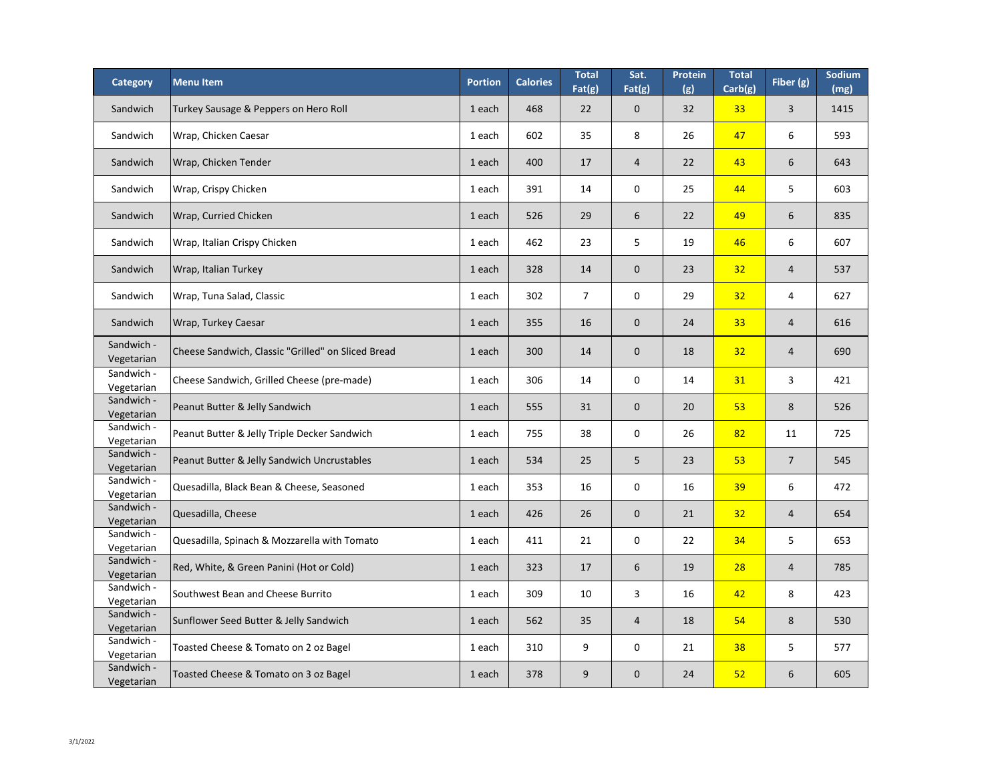| <b>Category</b>          | <b>Menu Item</b>                                   | <b>Portion</b> | <b>Calories</b> | <b>Total</b><br>Fat(g) | Sat.<br>Fat(g) | <b>Protein</b><br>(g) | <b>Total</b><br>Carb(g) | Fiber $(g)$    | Sodium<br>(mg) |
|--------------------------|----------------------------------------------------|----------------|-----------------|------------------------|----------------|-----------------------|-------------------------|----------------|----------------|
| Sandwich                 | Turkey Sausage & Peppers on Hero Roll              | 1 each         | 468             | 22                     | $\overline{0}$ | 32                    | 33                      | 3              | 1415           |
| Sandwich                 | Wrap, Chicken Caesar                               | 1 each         | 602             | 35                     | 8              | 26                    | 47                      | 6              | 593            |
| Sandwich                 | Wrap, Chicken Tender                               | 1 each         | 400             | 17                     | $\overline{4}$ | 22                    | 43                      | 6              | 643            |
| Sandwich                 | Wrap, Crispy Chicken                               | 1 each         | 391             | 14                     | $\mathbf 0$    | 25                    | 44                      | 5              | 603            |
| Sandwich                 | Wrap, Curried Chicken                              | 1 each         | 526             | 29                     | 6              | 22                    | 49                      | 6              | 835            |
| Sandwich                 | Wrap, Italian Crispy Chicken                       | 1 each         | 462             | 23                     | 5              | 19                    | 46                      | 6              | 607            |
| Sandwich                 | Wrap, Italian Turkey                               | 1 each         | 328             | 14                     | $\overline{0}$ | 23                    | 32                      | 4              | 537            |
| Sandwich                 | Wrap, Tuna Salad, Classic                          | 1 each         | 302             | $\overline{7}$         | $\mathbf 0$    | 29                    | 32                      | $\overline{4}$ | 627            |
| Sandwich                 | Wrap, Turkey Caesar                                | 1 each         | 355             | 16                     | $\overline{0}$ | 24                    | 33                      | 4              | 616            |
| Sandwich -<br>Vegetarian | Cheese Sandwich, Classic "Grilled" on Sliced Bread | 1 each         | 300             | 14                     | $\mathbf{0}$   | 18                    | 32                      | $\overline{4}$ | 690            |
| Sandwich -<br>Vegetarian | Cheese Sandwich, Grilled Cheese (pre-made)         | 1 each         | 306             | 14                     | $\mathbf 0$    | 14                    | 31                      | 3              | 421            |
| Sandwich -<br>Vegetarian | Peanut Butter & Jelly Sandwich                     | 1 each         | 555             | 31                     | $\mathbf{0}$   | 20                    | 53                      | 8              | 526            |
| Sandwich -<br>Vegetarian | Peanut Butter & Jelly Triple Decker Sandwich       | 1 each         | 755             | 38                     | $\mathbf 0$    | 26                    | 82                      | 11             | 725            |
| Sandwich -<br>Vegetarian | Peanut Butter & Jelly Sandwich Uncrustables        | 1 each         | 534             | 25                     | 5              | 23                    | 53                      | $\overline{7}$ | 545            |
| Sandwich -<br>Vegetarian | Quesadilla, Black Bean & Cheese, Seasoned          | 1 each         | 353             | 16                     | $\mathbf 0$    | 16                    | 39                      | 6              | 472            |
| Sandwich -<br>Vegetarian | Quesadilla, Cheese                                 | 1 each         | 426             | 26                     | $\mathbf{0}$   | 21                    | 32                      | 4              | 654            |
| Sandwich -<br>Vegetarian | Quesadilla, Spinach & Mozzarella with Tomato       | 1 each         | 411             | 21                     | $\mathbf 0$    | 22                    | 34                      | 5              | 653            |
| Sandwich -<br>Vegetarian | Red, White, & Green Panini (Hot or Cold)           | 1 each         | 323             | 17                     | 6              | 19                    | 28                      | $\overline{4}$ | 785            |
| Sandwich -<br>Vegetarian | Southwest Bean and Cheese Burrito                  | 1 each         | 309             | 10                     | $\mathsf{3}$   | 16                    | 42                      | 8              | 423            |
| Sandwich -<br>Vegetarian | Sunflower Seed Butter & Jelly Sandwich             | 1 each         | 562             | 35                     | $\overline{4}$ | 18                    | 54                      | 8              | 530            |
| Sandwich -<br>Vegetarian | Toasted Cheese & Tomato on 2 oz Bagel              | 1 each         | 310             | 9                      | $\mathbf 0$    | 21                    | 38                      | 5              | 577            |
| Sandwich -<br>Vegetarian | Toasted Cheese & Tomato on 3 oz Bagel              | 1 each         | 378             | 9                      | $\mathbf{0}$   | 24                    | 52                      | 6              | 605            |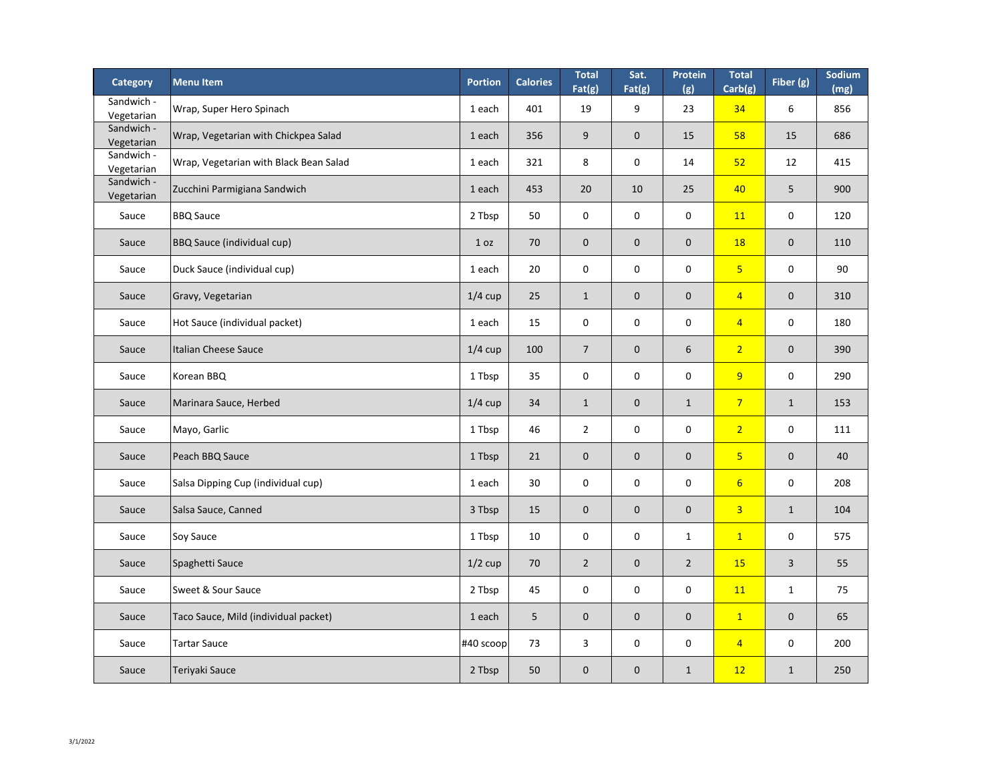| <b>Category</b>          | <b>Menu Item</b>                       | <b>Portion</b> | <b>Calories</b> | <b>Total</b><br>Fat(g) | Sat.<br>Fat(g) | Protein<br>(g) | <b>Total</b><br>Carb(g) | Fiber (g)        | Sodium<br>(mg) |
|--------------------------|----------------------------------------|----------------|-----------------|------------------------|----------------|----------------|-------------------------|------------------|----------------|
| Sandwich -<br>Vegetarian | Wrap, Super Hero Spinach               | 1 each         | 401             | 19                     | 9              | 23             | 34                      | 6                | 856            |
| Sandwich -<br>Vegetarian | Wrap, Vegetarian with Chickpea Salad   | 1 each         | 356             | 9                      | $\overline{0}$ | 15             | 58                      | 15               | 686            |
| Sandwich -<br>Vegetarian | Wrap, Vegetarian with Black Bean Salad | 1 each         | 321             | 8                      | $\mathbf 0$    | 14             | 52                      | 12               | 415            |
| Sandwich -<br>Vegetarian | Zucchini Parmigiana Sandwich           | 1 each         | 453             | 20                     | 10             | 25             | 40                      | 5                | 900            |
| Sauce                    | <b>BBQ Sauce</b>                       | 2 Tbsp         | 50              | $\mathbf 0$            | $\mathbf 0$    | $\mathbf 0$    | <b>11</b>               | $\mathbf 0$      | 120            |
| Sauce                    | <b>BBQ Sauce (individual cup)</b>      | 1 oz           | 70              | $\overline{0}$         | $\overline{0}$ | $\mathbf{0}$   | 18                      | $\boldsymbol{0}$ | 110            |
| Sauce                    | Duck Sauce (individual cup)            | 1 each         | 20              | $\mathbf 0$            | $\mathbf 0$    | $\mathbf 0$    | 5 <sub>o</sub>          | $\mathbf 0$      | 90             |
| Sauce                    | Gravy, Vegetarian                      | $1/4$ cup      | 25              | $\mathbf{1}$           | $\overline{0}$ | $\overline{0}$ | $\overline{4}$          | $\mathbf 0$      | 310            |
| Sauce                    | Hot Sauce (individual packet)          | 1 each         | 15              | $\mathbf 0$            | $\mathbf 0$    | $\mathbf 0$    | $\overline{4}$          | $\pmb{0}$        | 180            |
| Sauce                    | Italian Cheese Sauce                   | $1/4$ cup      | 100             | $\overline{7}$         | $\overline{0}$ | 6              | 2 <sup>1</sup>          | $\boldsymbol{0}$ | 390            |
| Sauce                    | Korean BBQ                             | 1 Tbsp         | 35              | $\mathbf{0}$           | $\bf{0}$       | $\bf{0}$       | 9                       | $\mathbf 0$      | 290            |
| Sauce                    | Marinara Sauce, Herbed                 | $1/4$ cup      | 34              | $\mathbf{1}$           | $\overline{0}$ | $\mathbf{1}$   | $\overline{7}$          | $\mathbf{1}$     | 153            |
| Sauce                    | Mayo, Garlic                           | 1 Tbsp         | 46              | $\overline{2}$         | $\mathbf 0$    | $\mathbf 0$    | 2 <sup>1</sup>          | $\mathbf 0$      | 111            |
| Sauce                    | Peach BBQ Sauce                        | 1 Tbsp         | 21              | $\mathbf{0}$           | $\overline{0}$ | $\overline{0}$ | 5 <sup>1</sup>          | $\mathbf 0$      | 40             |
| Sauce                    | Salsa Dipping Cup (individual cup)     | 1 each         | 30              | $\mathbf 0$            | $\mathbf 0$    | $\mathbf 0$    | 6 <sup>1</sup>          | $\mathbf 0$      | 208            |
| Sauce                    | Salsa Sauce, Canned                    | 3 Tbsp         | 15              | $\mathbf{0}$           | $\overline{0}$ | $\mathbf{0}$   | 3 <sup>1</sup>          | $\mathbf{1}$     | 104            |
| Sauce                    | Soy Sauce                              | 1 Tbsp         | 10              | $\mathbf 0$            | $\mathbf 0$    | $\mathbf{1}$   | $\mathbf{1}$            | $\mathbf 0$      | 575            |
| Sauce                    | Spaghetti Sauce                        | $1/2$ cup      | 70              | $\overline{2}$         | $\overline{0}$ | $\overline{2}$ | <b>15</b>               | $\overline{3}$   | 55             |
| Sauce                    | Sweet & Sour Sauce                     | 2 Tbsp         | 45              | $\mathbf 0$            | $\mathbf 0$    | $\mathbf 0$    | <b>11</b>               | $\mathbf{1}$     | 75             |
| Sauce                    | Taco Sauce, Mild (individual packet)   | 1 each         | 5               | $\mathbf{0}$           | $\overline{0}$ | $\overline{0}$ | $\mathbf{1}$            | $\boldsymbol{0}$ | 65             |
| Sauce                    | Tartar Sauce                           | $ #40$ scoop   | 73              | $\mathsf{3}$           | $\mathbf 0$    | $\mathbf 0$    | $\overline{4}$          | $\mathbf 0$      | 200            |
| Sauce                    | Teriyaki Sauce                         | 2 Tbsp         | 50              | $\overline{0}$         | $\overline{0}$ | $\mathbf{1}$   | 12                      | $\mathbf{1}$     | 250            |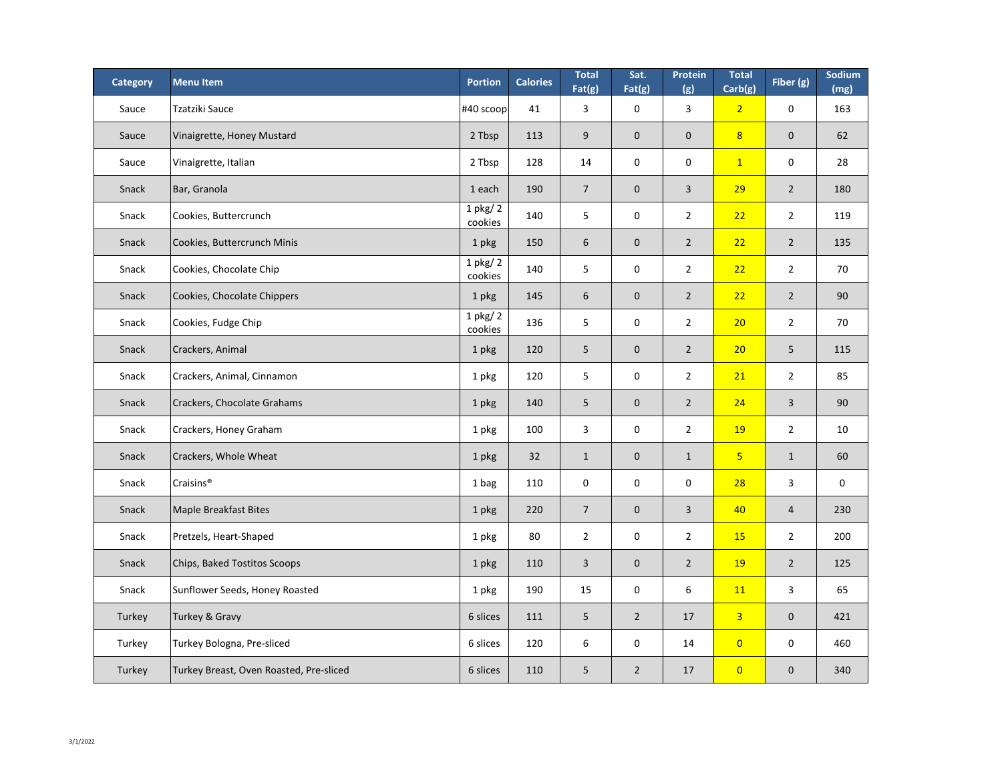| <b>Category</b> | <b>Menu Item</b>                        | <b>Portion</b>          | <b>Calories</b> | <b>Total</b><br>Fat(g) | Sat.<br>Fat(g)   | <b>Protein</b><br>(g) | <b>Total</b><br>Carb(g) | Fiber $(g)$      | Sodium<br>(mg) |
|-----------------|-----------------------------------------|-------------------------|-----------------|------------------------|------------------|-----------------------|-------------------------|------------------|----------------|
| Sauce           | <b>Tzatziki Sauce</b>                   | $ #40$ scoop            | 41              | 3                      | $\mathbf 0$      | $\overline{3}$        | $\overline{2}$          | $\mathbf 0$      | 163            |
| Sauce           | Vinaigrette, Honey Mustard              | 2 Tbsp                  | 113             | 9                      | $\theta$         | $\boldsymbol{0}$      | 8                       | $\mathbf 0$      | 62             |
| Sauce           | Vinaigrette, Italian                    | 2 Tbsp                  | 128             | 14                     | $\mathbf 0$      | $\mathbf 0$           | $\mathbf{1}$            | $\mathbf 0$      | 28             |
| Snack           | Bar, Granola                            | 1 each                  | 190             | $\overline{7}$         | $\boldsymbol{0}$ | 3                     | 29                      | $\overline{2}$   | 180            |
| Snack           | Cookies, Buttercrunch                   | $1$ pkg/ $2$<br>cookies | 140             | 5                      | $\mathbf 0$      | $\overline{2}$        | 22                      | $\overline{2}$   | 119            |
| Snack           | Cookies, Buttercrunch Minis             | 1 pkg                   | 150             | $6\,$                  | $\boldsymbol{0}$ | $\overline{2}$        | 22                      | $\overline{2}$   | 135            |
| Snack           | Cookies, Chocolate Chip                 | $1$ pkg/ $2$<br>cookies | 140             | 5                      | $\mathbf 0$      | $\overline{2}$        | 22                      | $\overline{2}$   | 70             |
| Snack           | Cookies, Chocolate Chippers             | 1 pkg                   | 145             | $6\,$                  | $\theta$         | $\overline{2}$        | 22                      | $\overline{2}$   | 90             |
| Snack           | Cookies, Fudge Chip                     | $1$ pkg/ $2$<br>cookies | 136             | 5                      | $\boldsymbol{0}$ | $\overline{2}$        | 20                      | $\overline{2}$   | 70             |
| Snack           | Crackers, Animal                        | 1 pkg                   | 120             | 5                      | $\boldsymbol{0}$ | $\overline{2}$        | 20                      | 5                | 115            |
| Snack           | Crackers, Animal, Cinnamon              | 1 pkg                   | 120             | 5                      | 0                | $\overline{2}$        | <b>21</b>               | $\overline{2}$   | 85             |
| Snack           | Crackers, Chocolate Grahams             | 1 pkg                   | 140             | 5                      | $\boldsymbol{0}$ | $\overline{2}$        | 24                      | $\overline{3}$   | 90             |
| Snack           | Crackers, Honey Graham                  | 1 pkg                   | 100             | $\mathsf{3}$           | $\mathbf 0$      | $\overline{2}$        | <b>19</b>               | $\overline{2}$   | 10             |
| Snack           | Crackers, Whole Wheat                   | 1 pkg                   | 32              | $\mathbf{1}$           | $\boldsymbol{0}$ | $\mathbf{1}$          | 5 <sub>o</sub>          | $\mathbf{1}$     | 60             |
| Snack           | Craisins <sup>®</sup>                   | 1 bag                   | 110             | $\pmb{0}$              | $\mathbf 0$      | $\mathbf 0$           | 28                      | $\mathsf{3}$     | $\mathbf 0$    |
| Snack           | Maple Breakfast Bites                   | 1 pkg                   | 220             | $\overline{7}$         | $\boldsymbol{0}$ | 3                     | 40                      | $\overline{4}$   | 230            |
| Snack           | Pretzels, Heart-Shaped                  | 1 pkg                   | 80              | $\overline{2}$         | $\mathbf 0$      | $\overline{2}$        | <b>15</b>               | $\overline{2}$   | 200            |
| Snack           | Chips, Baked Tostitos Scoops            | 1 pkg                   | 110             | $\overline{3}$         | $\boldsymbol{0}$ | $\overline{2}$        | <b>19</b>               | $\overline{2}$   | 125            |
| Snack           | Sunflower Seeds, Honey Roasted          | 1 pkg                   | 190             | 15                     | $\mathbf 0$      | $6\,$                 | <b>11</b>               | $\mathbf{3}$     | 65             |
| Turkey          | Turkey & Gravy                          | 6 slices                | 111             | 5                      | $\overline{2}$   | 17                    | $\overline{3}$          | $\mathbf{0}$     | 421            |
| Turkey          | Turkey Bologna, Pre-sliced              | 6 slices                | 120             | 6                      | $\mathbf 0$      | 14                    | $\overline{0}$          | $\boldsymbol{0}$ | 460            |
| Turkey          | Turkey Breast, Oven Roasted, Pre-sliced | 6 slices                | 110             | 5                      | $\overline{2}$   | 17                    | $\overline{0}$          | $\mathbf{0}$     | 340            |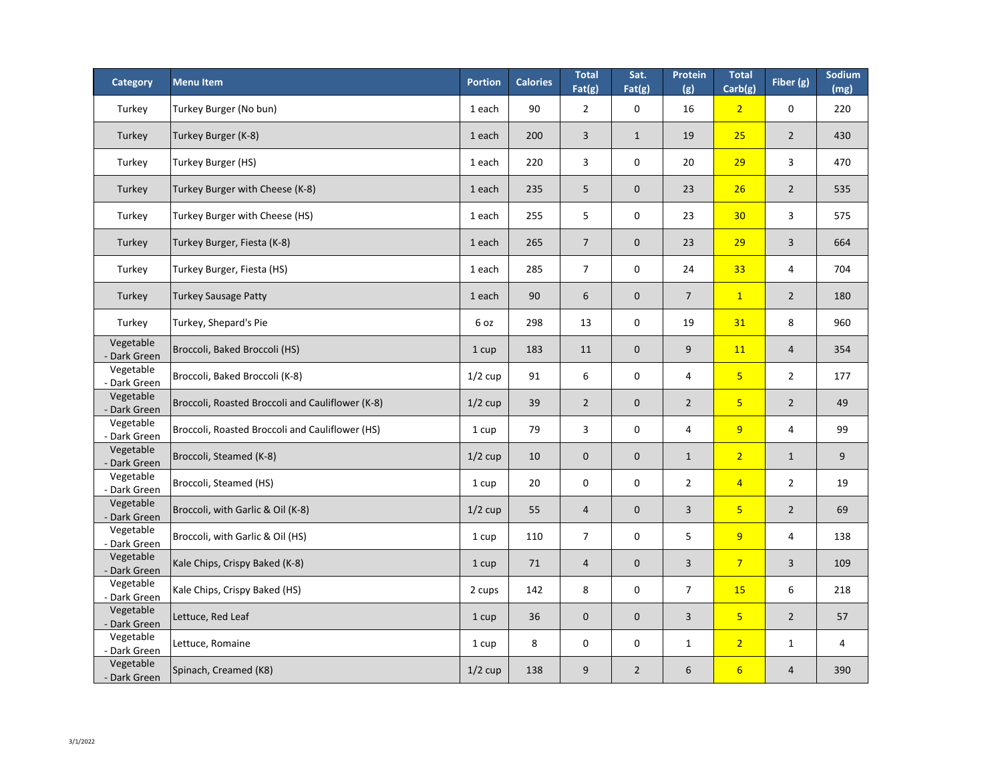| <b>Category</b>                | <b>Menu Item</b>                                 | <b>Portion</b> | <b>Calories</b> | <b>Total</b><br>Fat(g) | Sat.<br>Fat(g)   | Protein<br>(g) | <b>Total</b><br>Carb(g) | Fiber (g)      | Sodium<br>(mg) |
|--------------------------------|--------------------------------------------------|----------------|-----------------|------------------------|------------------|----------------|-------------------------|----------------|----------------|
| Turkey                         | Turkey Burger (No bun)                           | 1 each         | 90              | $\overline{2}$         | $\mathbf 0$      | 16             | $\overline{2}$          | $\mathbf 0$    | 220            |
| Turkey                         | Turkey Burger (K-8)                              | 1 each         | 200             | 3                      | $\mathbf{1}$     | 19             | 25                      | $\overline{2}$ | 430            |
| Turkey                         | Turkey Burger (HS)                               | 1 each         | 220             | $\overline{3}$         | $\mathbf 0$      | 20             | 29                      | $\overline{3}$ | 470            |
| Turkey                         | Turkey Burger with Cheese (K-8)                  | 1 each         | 235             | 5                      | $\overline{0}$   | 23             | 26                      | $\overline{2}$ | 535            |
| Turkey                         | Turkey Burger with Cheese (HS)                   | 1 each         | 255             | 5                      | $\mathbf 0$      | 23             | 30 <sub>2</sub>         | $\overline{3}$ | 575            |
| Turkey                         | Turkey Burger, Fiesta (K-8)                      | 1 each         | 265             | $\overline{7}$         | $\overline{0}$   | 23             | 29                      | 3              | 664            |
| Turkey                         | Turkey Burger, Fiesta (HS)                       | 1 each         | 285             | $\overline{7}$         | $\mathbf 0$      | 24             | 33                      | $\overline{4}$ | 704            |
| Turkey                         | <b>Turkey Sausage Patty</b>                      | 1 each         | 90              | 6                      | $\overline{0}$   | $\overline{7}$ | $\mathbf{1}$            | $\overline{2}$ | 180            |
| Turkey                         | Turkey, Shepard's Pie                            | 6 oz           | 298             | 13                     | $\mathbf 0$      | 19             | 31                      | 8              | 960            |
| Vegetable<br>Dark Green        | Broccoli, Baked Broccoli (HS)                    | 1 cup          | 183             | 11                     | $\overline{0}$   | 9              | <b>11</b>               | $\overline{4}$ | 354            |
| Vegetable<br>- Dark Green      | Broccoli, Baked Broccoli (K-8)                   | $1/2$ cup      | 91              | 6                      | $\overline{0}$   | $\overline{4}$ | $5\overline{)}$         | $\overline{2}$ | 177            |
| Vegetable<br>- Dark Green      | Broccoli, Roasted Broccoli and Cauliflower (K-8) | $1/2$ cup      | 39              | $\overline{2}$         | $\overline{0}$   | $\overline{2}$ | $5\overline{)}$         | $\overline{2}$ | 49             |
| Vegetable<br>- Dark Green      | Broccoli, Roasted Broccoli and Cauliflower (HS)  | 1 cup          | 79              | 3                      | $\overline{0}$   | $\overline{4}$ | 9                       | 4              | 99             |
| Vegetable<br>- Dark Green      | Broccoli, Steamed (K-8)                          | $1/2$ cup      | 10              | $\boldsymbol{0}$       | $\overline{0}$   | $\mathbf{1}$   | $\overline{2}$          | $\mathbf{1}$   | 9              |
| Vegetable<br>- Dark Green      | Broccoli, Steamed (HS)                           | 1 cup          | 20              | $\boldsymbol{0}$       | $\boldsymbol{0}$ | $\overline{2}$ | $\overline{4}$          | $\overline{2}$ | 19             |
| Vegetable<br>- Dark Green      | Broccoli, with Garlic & Oil (K-8)                | $1/2$ cup      | 55              | $\overline{4}$         | $\overline{0}$   | 3              | $5\overline{}$          | $\overline{2}$ | 69             |
| Vegetable<br>- Dark Green      | Broccoli, with Garlic & Oil (HS)                 | 1 cup          | 110             | $\overline{7}$         | $\mathbf 0$      | 5              | 9                       | 4              | 138            |
| Vegetable<br><b>Dark Green</b> | Kale Chips, Crispy Baked (K-8)                   | 1 cup          | 71              | 4                      | $\overline{0}$   | $\overline{3}$ | $\overline{7}$          | 3              | 109            |
| Vegetable<br>- Dark Green      | Kale Chips, Crispy Baked (HS)                    | 2 cups         | 142             | 8                      | $\mathbf 0$      | $\overline{7}$ | <b>15</b>               | 6              | 218            |
| Vegetable<br>- Dark Green      | Lettuce, Red Leaf                                | 1 cup          | 36              | $\mathbf 0$            | $\overline{0}$   | $\overline{3}$ | $5\overline{}$          | $\overline{2}$ | 57             |
| Vegetable<br>- Dark Green      | Lettuce, Romaine                                 | 1 cup          | 8               | $\mathbf 0$            | $\mathbf 0$      | $\mathbf{1}$   | $\overline{2}$          | $\mathbf{1}$   | 4              |
| Vegetable<br>- Dark Green      | Spinach, Creamed (K8)                            | $1/2$ cup      | 138             | 9                      | $\overline{2}$   | 6              | $6 \overline{6}$        | $\overline{4}$ | 390            |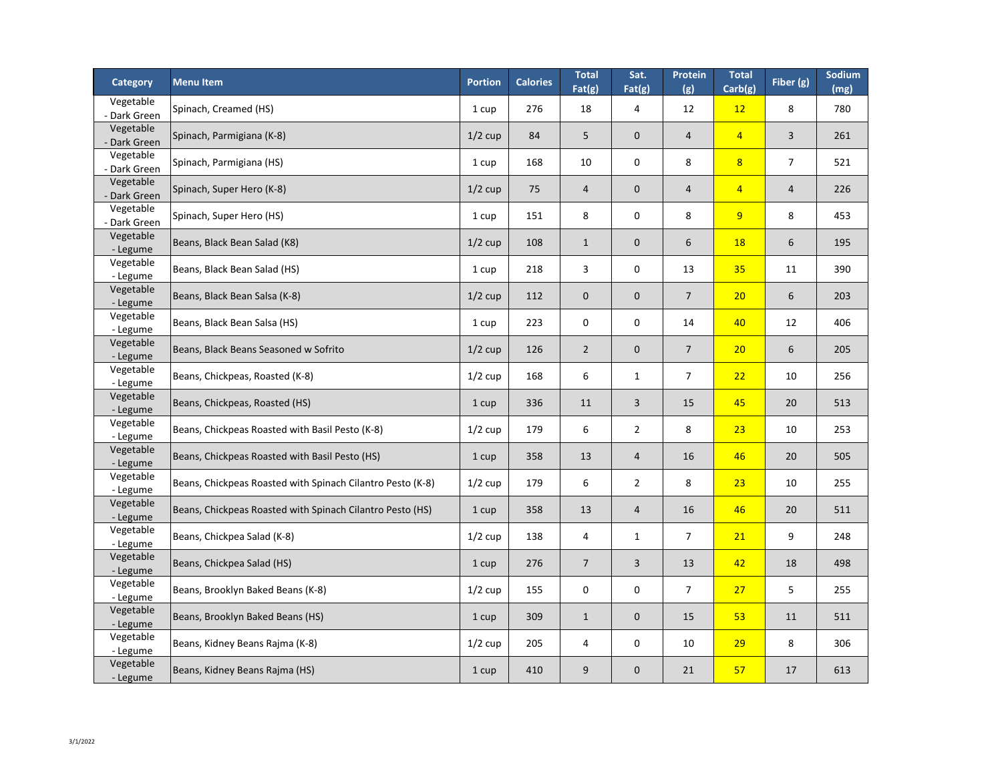| <b>Category</b>                   | <b>Menu Item</b>                                           | <b>Portion</b> | <b>Calories</b> | <b>Total</b><br>Fat(g) | Sat.<br>Fat(g)   | Protein<br>(g) | <b>Total</b><br>Carb(g) | Fiber (g)      | Sodium<br>(mg) |
|-----------------------------------|------------------------------------------------------------|----------------|-----------------|------------------------|------------------|----------------|-------------------------|----------------|----------------|
| Vegetable<br>- Dark Green         | Spinach, Creamed (HS)                                      | 1 cup          | 276             | 18                     | 4                | 12             | 12                      | 8              | 780            |
| Vegetable<br>- Dark Green         | Spinach, Parmigiana (K-8)                                  | $1/2$ cup      | 84              | 5                      | $\mathbf 0$      | $\overline{4}$ | $\overline{4}$          | 3              | 261            |
| Vegetable<br>- Dark Green         | Spinach, Parmigiana (HS)                                   | 1 cup          | 168             | 10                     | $\mathbf 0$      | 8              | 8                       | $\overline{7}$ | 521            |
| Vegetable<br>- Dark Green         | Spinach, Super Hero (K-8)                                  | $1/2$ cup      | 75              | $\overline{4}$         | $\mathbf 0$      | $\overline{4}$ | $\overline{4}$          | $\overline{4}$ | 226            |
| Vegetable<br>- Dark Green         | Spinach, Super Hero (HS)                                   | 1 cup          | 151             | 8                      | 0                | 8              | 9                       | 8              | 453            |
| Vegetable<br>- Legume             | Beans, Black Bean Salad (K8)                               | $1/2$ cup      | 108             | $\mathbf{1}$           | $\overline{0}$   | 6              | <b>18</b>               | 6              | 195            |
| Vegetable<br>- Legume             | Beans, Black Bean Salad (HS)                               | 1 cup          | 218             | $\overline{3}$         | 0                | 13             | 35                      | 11             | 390            |
| Vegetable<br>- Legume             | Beans, Black Bean Salsa (K-8)                              | $1/2$ cup      | 112             | $\overline{0}$         | $\mathbf 0$      | $\overline{7}$ | 20                      | 6              | 203            |
| Vegetable                         | Beans, Black Bean Salsa (HS)                               | 1 cup          | 223             | $\mathbf 0$            | 0                | 14             | 40                      | 12             | 406            |
| - Legume<br>Vegetable             | Beans, Black Beans Seasoned w Sofrito                      | $1/2$ cup      | 126             | $\overline{2}$         | $\mathbf 0$      | $\overline{7}$ | 20                      | 6              | 205            |
| - Legume<br>Vegetable             | Beans, Chickpeas, Roasted (K-8)                            | $1/2$ cup      | 168             | 6                      | 1                | $\overline{7}$ | 22                      | 10             | 256            |
| - Legume<br>Vegetable             | Beans, Chickpeas, Roasted (HS)                             | 1 cup          | 336             | 11                     | $\overline{3}$   | 15             | 45                      | 20             | 513            |
| - Legume<br>Vegetable             | Beans, Chickpeas Roasted with Basil Pesto (K-8)            | $1/2$ cup      | 179             | 6                      | $\overline{2}$   | 8              | 23                      | 10             | 253            |
| - Legume<br>Vegetable<br>- Legume | Beans, Chickpeas Roasted with Basil Pesto (HS)             | 1 cup          | 358             | 13                     | $\overline{4}$   | 16             | 46                      | 20             | 505            |
| Vegetable<br>- Legume             | Beans, Chickpeas Roasted with Spinach Cilantro Pesto (K-8) | $1/2$ cup      | 179             | 6                      | $\overline{2}$   | 8              | 23                      | 10             | 255            |
| Vegetable<br>- Legume             | Beans, Chickpeas Roasted with Spinach Cilantro Pesto (HS)  | 1 cup          | 358             | 13                     | $\overline{4}$   | 16             | 46                      | 20             | 511            |
| Vegetable                         | Beans, Chickpea Salad (K-8)                                | $1/2$ cup      | 138             | 4                      | 1                | $\overline{7}$ | 21                      | 9              | 248            |
| - Legume<br>Vegetable             | Beans, Chickpea Salad (HS)                                 | 1 cup          | 276             | $\overline{7}$         | $\overline{3}$   | 13             | 42                      | 18             | 498            |
| - Legume<br>Vegetable             | Beans, Brooklyn Baked Beans (K-8)                          | $1/2$ cup      | 155             | $\mathbf 0$            | $\boldsymbol{0}$ | $\overline{7}$ | 27                      | 5              | 255            |
| - Legume<br>Vegetable             | Beans, Brooklyn Baked Beans (HS)                           | 1 cup          | 309             | $\mathbf{1}$           | $\mathbf 0$      | 15             | 53                      | 11             | 511            |
| - Legume<br>Vegetable             | Beans, Kidney Beans Rajma (K-8)                            | $1/2$ cup      | 205             | 4                      | $\boldsymbol{0}$ | 10             | 29                      | 8              | 306            |
| - Legume<br>Vegetable<br>- Legume | Beans, Kidney Beans Rajma (HS)                             | 1 cup          | 410             | 9                      | 0                | 21             | 57                      | 17             | 613            |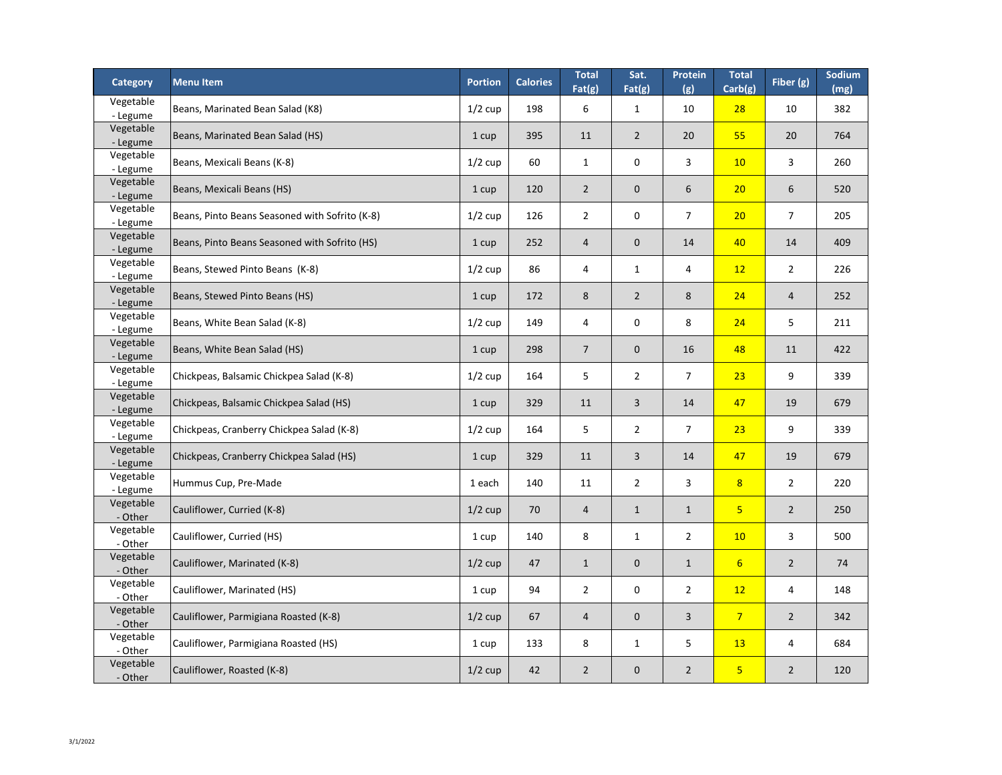| <b>Category</b>       | <b>Menultem</b>                                | <b>Portion</b> | <b>Calories</b> | <b>Total</b><br>Fat(g) | Sat.<br>Fat(g)   | <b>Protein</b><br>(g) | <b>Total</b><br>Carb(g) | Fiber (g)      | Sodium<br>(mg) |
|-----------------------|------------------------------------------------|----------------|-----------------|------------------------|------------------|-----------------------|-------------------------|----------------|----------------|
| Vegetable<br>- Legume | Beans, Marinated Bean Salad (K8)               | $1/2$ cup      | 198             | 6                      | 1                | 10                    | 28                      | 10             | 382            |
| Vegetable<br>- Legume | Beans, Marinated Bean Salad (HS)               | 1 cup          | 395             | 11                     | $\overline{2}$   | 20                    | 55                      | 20             | 764            |
| Vegetable<br>- Legume | Beans, Mexicali Beans (K-8)                    | $1/2$ cup      | 60              | $\mathbf{1}$           | $\boldsymbol{0}$ | 3                     | 10                      | 3              | 260            |
| Vegetable<br>- Legume | Beans, Mexicali Beans (HS)                     | 1 cup          | 120             | $\overline{2}$         | $\mathbf 0$      | 6                     | 20                      | 6              | 520            |
| Vegetable<br>- Legume | Beans, Pinto Beans Seasoned with Sofrito (K-8) | $1/2$ cup      | 126             | $\overline{2}$         | $\mathbf 0$      | $\overline{7}$        | 20                      | $\overline{7}$ | 205            |
| Vegetable<br>- Legume | Beans, Pinto Beans Seasoned with Sofrito (HS)  | 1 cup          | 252             | 4                      | $\overline{0}$   | 14                    | 40                      | 14             | 409            |
| Vegetable<br>- Legume | Beans, Stewed Pinto Beans (K-8)                | $1/2$ cup      | 86              | 4                      | $\mathbf 1$      | 4                     | 12                      | $\overline{2}$ | 226            |
| Vegetable<br>- Legume | Beans, Stewed Pinto Beans (HS)                 | 1 cup          | 172             | 8                      | $\overline{2}$   | 8                     | 24                      | $\overline{4}$ | 252            |
| Vegetable<br>- Legume | Beans, White Bean Salad (K-8)                  | $1/2$ cup      | 149             | 4                      | $\mathbf 0$      | 8                     | 24                      | 5              | 211            |
| Vegetable<br>- Legume | Beans, White Bean Salad (HS)                   | 1 cup          | 298             | $\overline{7}$         | $\boldsymbol{0}$ | 16                    | 48                      | 11             | 422            |
| Vegetable<br>- Legume | Chickpeas, Balsamic Chickpea Salad (K-8)       | $1/2$ cup      | 164             | 5                      | 2                | 7                     | <b>23</b>               | 9              | 339            |
| Vegetable<br>- Legume | Chickpeas, Balsamic Chickpea Salad (HS)        | 1 cup          | 329             | 11                     | 3                | 14                    | 47                      | 19             | 679            |
| Vegetable<br>- Legume | Chickpeas, Cranberry Chickpea Salad (K-8)      | $1/2$ cup      | 164             | 5                      | $\overline{2}$   | $\overline{7}$        | 23                      | 9              | 339            |
| Vegetable<br>- Legume | Chickpeas, Cranberry Chickpea Salad (HS)       | 1 cup          | 329             | 11                     | 3                | 14                    | 47                      | 19             | 679            |
| Vegetable<br>- Legume | Hummus Cup, Pre-Made                           | 1 each         | 140             | 11                     | $\overline{2}$   | 3                     | 8                       | $\overline{2}$ | 220            |
| Vegetable<br>- Other  | Cauliflower, Curried (K-8)                     | $1/2$ cup      | 70              | 4                      | $\mathbf{1}$     | $\mathbf{1}$          | 5 <sub>o</sub>          | $\overline{2}$ | 250            |
| Vegetable<br>- Other  | Cauliflower, Curried (HS)                      | 1 cup          | 140             | 8                      | $\mathbf{1}$     | $\overline{2}$        | 10                      | $\overline{3}$ | 500            |
| Vegetable<br>- Other  | Cauliflower, Marinated (K-8)                   | $1/2$ cup      | 47              | $\mathbf{1}$           | $\mathbf 0$      | $\mathbf{1}$          | $6 \overline{6}$        | $\overline{2}$ | 74             |
| Vegetable<br>- Other  | Cauliflower, Marinated (HS)                    | 1 cup          | 94              | $\overline{2}$         | $\mathbf 0$      | $\overline{2}$        | 12                      | 4              | 148            |
| Vegetable<br>- Other  | Cauliflower, Parmigiana Roasted (K-8)          | $1/2$ cup      | 67              | 4                      | $\boldsymbol{0}$ | 3                     | $\overline{7}$          | $\overline{2}$ | 342            |
| Vegetable<br>- Other  | Cauliflower, Parmigiana Roasted (HS)           | 1 cup          | 133             | 8                      | $\mathbf{1}$     | 5                     | <b>13</b>               | 4              | 684            |
| Vegetable<br>- Other  | Cauliflower, Roasted (K-8)                     | $1/2$ cup      | 42              | $\overline{2}$         | $\mathbf 0$      | $\overline{2}$        | 5 <sub>o</sub>          | $\overline{2}$ | 120            |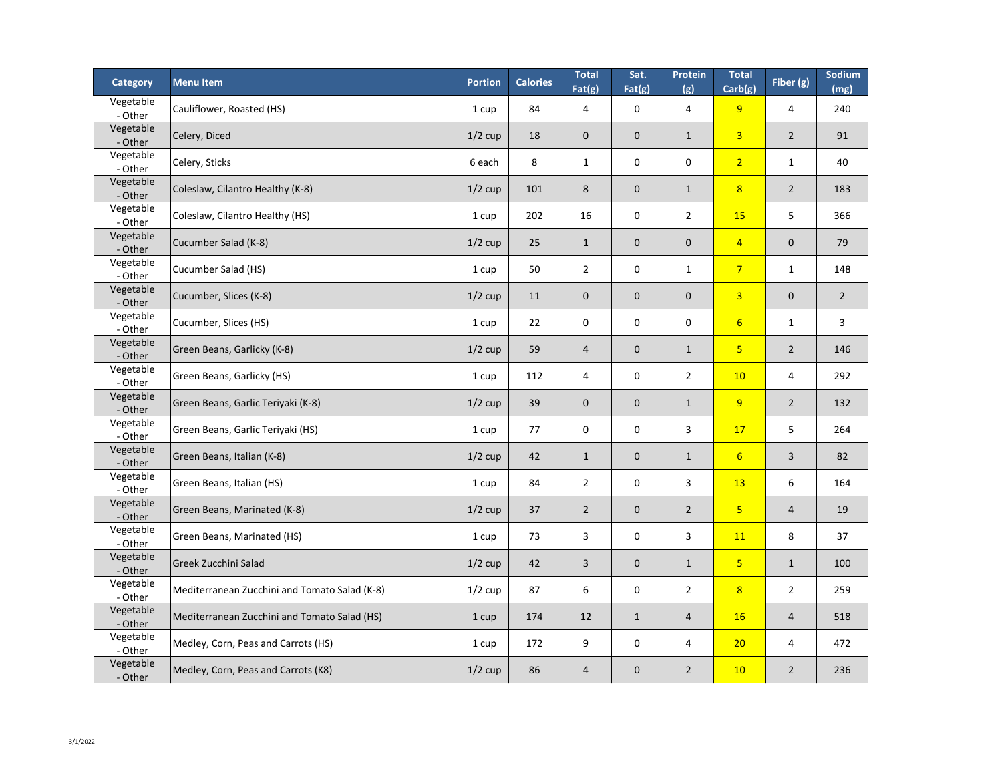| <b>Category</b>      | <b>Menu Item</b>                              | <b>Portion</b> | <b>Calories</b> | <b>Total</b><br>Fat(g) | Sat.<br>Fat(g)   | Protein<br>(g)   | <b>Total</b><br>Carb(g) | Fiber (g)      | Sodium<br>(mg) |
|----------------------|-----------------------------------------------|----------------|-----------------|------------------------|------------------|------------------|-------------------------|----------------|----------------|
| Vegetable<br>- Other | Cauliflower, Roasted (HS)                     | 1 cup          | 84              | 4                      | $\mathbf 0$      | 4                | 9                       | 4              | 240            |
| Vegetable<br>- Other | Celery, Diced                                 | $1/2$ cup      | 18              | $\mathbf 0$            | $\mathbf 0$      | $\mathbf{1}$     | $\overline{3}$          | $\overline{2}$ | 91             |
| Vegetable<br>- Other | Celery, Sticks                                | 6 each         | 8               | $\mathbf{1}$           | $\mathbf 0$      | $\mathbf 0$      | $\overline{2}$          | $\mathbf{1}$   | 40             |
| Vegetable<br>- Other | Coleslaw, Cilantro Healthy (K-8)              | $1/2$ cup      | 101             | 8                      | $\mathbf 0$      | $\mathbf{1}$     | 8 <sup>2</sup>          | $\overline{2}$ | 183            |
| Vegetable<br>- Other | Coleslaw, Cilantro Healthy (HS)               | 1 cup          | 202             | 16                     | $\mathbf 0$      | $\overline{2}$   | <b>15</b>               | 5              | 366            |
| Vegetable<br>- Other | Cucumber Salad (K-8)                          | $1/2$ cup      | 25              | $\mathbf{1}$           | $\theta$         | $\mathbf 0$      | $\overline{4}$          | $\theta$       | 79             |
| Vegetable<br>- Other | Cucumber Salad (HS)                           | 1 cup          | 50              | $\overline{2}$         | $\mathbf 0$      | $\mathbf{1}$     | $\overline{7}$          | $\mathbf{1}$   | 148            |
| Vegetable<br>- Other | Cucumber, Slices (K-8)                        | $1/2$ cup      | 11              | $\mathbf 0$            | $\mathbf 0$      | $\mathbf 0$      | $\overline{3}$          | $\mathbf 0$    | $2^{\circ}$    |
| Vegetable<br>- Other | Cucumber, Slices (HS)                         | 1 cup          | 22              | $\boldsymbol{0}$       | $\boldsymbol{0}$ | $\boldsymbol{0}$ | $6 \overline{6}$        | $\mathbf{1}$   | $\overline{3}$ |
| Vegetable<br>- Other | Green Beans, Garlicky (K-8)                   | $1/2$ cup      | 59              | $\overline{4}$         | $\boldsymbol{0}$ | $\mathbf{1}$     | 5 <sub>o</sub>          | $\overline{2}$ | 146            |
| Vegetable<br>- Other | Green Beans, Garlicky (HS)                    | 1 cup          | 112             | 4                      | 0                | $\overline{2}$   | 10                      | 4              | 292            |
| Vegetable<br>- Other | Green Beans, Garlic Teriyaki (K-8)            | $1/2$ cup      | 39              | $\mathbf 0$            | $\mathbf 0$      | $\mathbf{1}$     | 9                       | $\overline{2}$ | 132            |
| Vegetable<br>- Other | Green Beans, Garlic Teriyaki (HS)             | 1 cup          | 77              | $\boldsymbol{0}$       | $\pmb{0}$        | 3                | 17                      | $5\phantom{.}$ | 264            |
| Vegetable<br>- Other | Green Beans, Italian (K-8)                    | $1/2$ cup      | 42              | $\mathbf{1}$           | $\mathbf 0$      | $\mathbf{1}$     | $6 \overline{6}$        | $\overline{3}$ | 82             |
| Vegetable<br>- Other | Green Beans, Italian (HS)                     | 1 cup          | 84              | $\overline{2}$         | $\mathbf 0$      | 3                | <b>13</b>               | 6              | 164            |
| Vegetable<br>- Other | Green Beans, Marinated (K-8)                  | $1/2$ cup      | 37              | $\overline{2}$         | $\mathbf 0$      | $\overline{2}$   | 5 <sub>o</sub>          | $\overline{4}$ | 19             |
| Vegetable<br>- Other | Green Beans, Marinated (HS)                   | 1 cup          | 73              | 3                      | $\mathbf 0$      | 3                | <b>11</b>               | 8              | 37             |
| Vegetable<br>- Other | <b>Greek Zucchini Salad</b>                   | $1/2$ cup      | 42              | 3                      | $\mathbf 0$      | $\mathbf{1}$     | 5 <sub>o</sub>          | $\mathbf{1}$   | 100            |
| Vegetable<br>- Other | Mediterranean Zucchini and Tomato Salad (K-8) | $1/2$ cup      | 87              | 6                      | $\mathbf 0$      | $\overline{2}$   | 8 <sup>2</sup>          | $\overline{2}$ | 259            |
| Vegetable<br>- Other | Mediterranean Zucchini and Tomato Salad (HS)  | 1 cup          | 174             | 12                     | $\mathbf{1}$     | 4                | <b>16</b>               | $\overline{4}$ | 518            |
| Vegetable<br>- Other | Medley, Corn, Peas and Carrots (HS)           | 1 cup          | 172             | 9                      | $\mathbf 0$      | 4                | 20                      | 4              | 472            |
| Vegetable<br>- Other | Medley, Corn, Peas and Carrots (K8)           | $1/2$ cup      | 86              | $\overline{4}$         | $\theta$         | $\overline{2}$   | <b>10</b>               | $\overline{2}$ | 236            |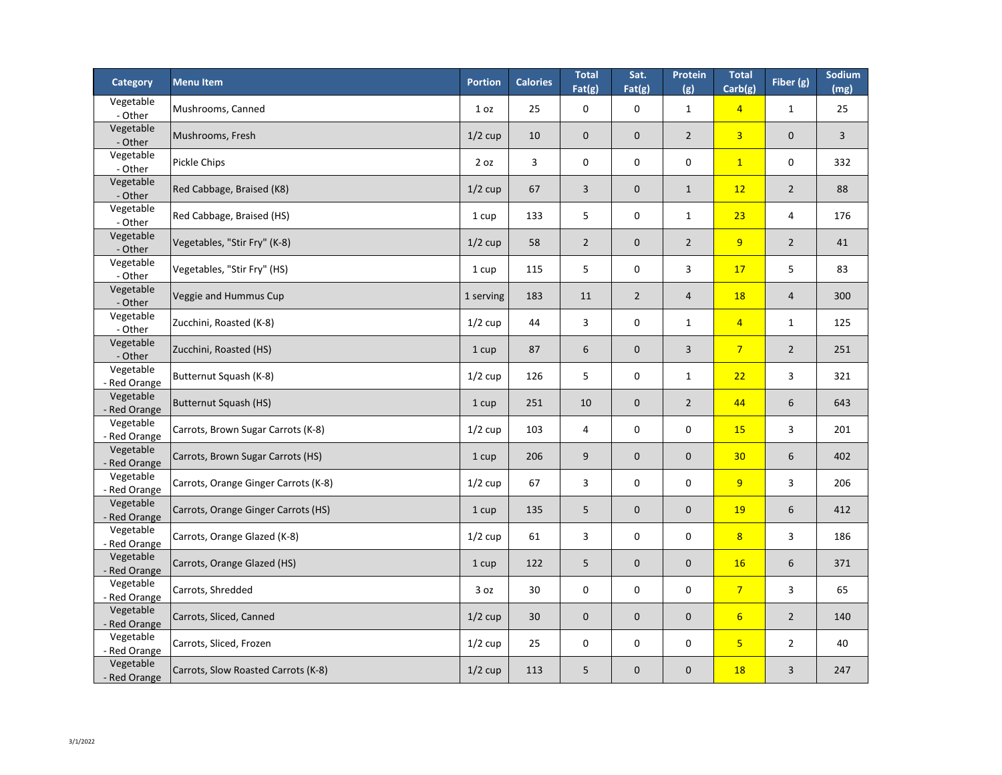| <b>Category</b>           | <b>Menu Item</b>                     | <b>Portion</b>  | <b>Calories</b> | <b>Total</b><br>Fat(g) | Sat.<br>Fat(g) | Protein<br>(g)   | <b>Total</b><br>Carb(g) | Fiber (g)      | Sodium<br>(mg) |
|---------------------------|--------------------------------------|-----------------|-----------------|------------------------|----------------|------------------|-------------------------|----------------|----------------|
| Vegetable<br>- Other      | Mushrooms, Canned                    | 1 <sub>oz</sub> | 25              | $\mathbf 0$            | $\overline{0}$ | $\mathbf{1}$     | $\overline{4}$          | $\mathbf 1$    | 25             |
| Vegetable<br>- Other      | Mushrooms, Fresh                     | $1/2$ cup       | 10              | $\mathbf 0$            | $\overline{0}$ | $\overline{2}$   | $\overline{3}$          | $\mathbf 0$    | $\overline{3}$ |
| Vegetable<br>- Other      | <b>Pickle Chips</b>                  | 2 oz            | $\overline{3}$  | $\mathbf 0$            | $\mathbf 0$    | $\mathbf 0$      | $\overline{1}$          | $\mathbf 0$    | 332            |
| Vegetable<br>- Other      | Red Cabbage, Braised (K8)            | $1/2$ cup       | 67              | $\overline{3}$         | $\overline{0}$ | $\mathbf{1}$     | 12                      | $\overline{2}$ | 88             |
| Vegetable<br>- Other      | Red Cabbage, Braised (HS)            | 1 cup           | 133             | 5                      | $\mathbf 0$    | $\mathbf{1}$     | 23                      | $\overline{4}$ | 176            |
| Vegetable<br>- Other      | Vegetables, "Stir Fry" (K-8)         | $1/2$ cup       | 58              | $\overline{2}$         | $\overline{0}$ | $\overline{2}$   | 9                       | $\overline{2}$ | 41             |
| Vegetable<br>- Other      | Vegetables, "Stir Fry" (HS)          | 1 cup           | 115             | 5                      | $\overline{0}$ | 3                | 17                      | 5              | 83             |
| Vegetable<br>- Other      | Veggie and Hummus Cup                | 1 serving       | 183             | 11                     | $\overline{2}$ | $\overline{4}$   | <b>18</b>               | $\overline{4}$ | 300            |
| Vegetable<br>- Other      | Zucchini, Roasted (K-8)              | $1/2$ cup       | 44              | 3                      | $\overline{0}$ | $\mathbf{1}$     | $\overline{4}$          | $\mathbf 1$    | 125            |
| Vegetable<br>- Other      | Zucchini, Roasted (HS)               | 1 cup           | 87              | 6                      | $\overline{0}$ | 3                | $\overline{7}$          | $\overline{2}$ | 251            |
| Vegetable<br>- Red Orange | Butternut Squash (K-8)               | $1/2$ cup       | 126             | 5                      | $\mathbf 0$    | $\mathbf{1}$     | 22                      | 3              | 321            |
| Vegetable<br>- Red Orange | Butternut Squash (HS)                | 1 cup           | 251             | 10                     | $\overline{0}$ | $\overline{2}$   | 44                      | 6              | 643            |
| Vegetable<br>- Red Orange | Carrots, Brown Sugar Carrots (K-8)   | $1/2$ cup       | 103             | 4                      | $\overline{0}$ | $\mathbf 0$      | <b>15</b>               | 3              | 201            |
| Vegetable<br>- Red Orange | Carrots, Brown Sugar Carrots (HS)    | 1 cup           | 206             | 9                      | $\overline{0}$ | $\mathbf 0$      | 30 <sub>o</sub>         | 6              | 402            |
| Vegetable<br>- Red Orange | Carrots, Orange Ginger Carrots (K-8) | $1/2$ cup       | 67              | 3                      | $\overline{0}$ | $\boldsymbol{0}$ | 9                       | 3              | 206            |
| Vegetable<br>- Red Orange | Carrots, Orange Ginger Carrots (HS)  | 1 cup           | 135             | 5                      | $\overline{0}$ | $\boldsymbol{0}$ | <b>19</b>               | 6              | 412            |
| Vegetable<br>- Red Orange | Carrots, Orange Glazed (K-8)         | $1/2$ cup       | 61              | $\overline{3}$         | $\mathbf 0$    | $\boldsymbol{0}$ | 8                       | $\overline{3}$ | 186            |
| Vegetable<br>- Red Orange | Carrots, Orange Glazed (HS)          | 1 cup           | 122             | 5                      | $\overline{0}$ | $\mathbf 0$      | <b>16</b>               | $6\phantom{1}$ | 371            |
| Vegetable<br>- Red Orange | Carrots, Shredded                    | 3 oz            | 30              | $\mathbf 0$            | $\overline{0}$ | $\mathbf 0$      | $\overline{7}$          | $\overline{3}$ | 65             |
| Vegetable<br>- Red Orange | Carrots, Sliced, Canned              | $1/2$ cup       | 30              | $\mathbf{0}$           | $\overline{0}$ | $\boldsymbol{0}$ | $6 \overline{6}$        | $\overline{2}$ | 140            |
| Vegetable<br>- Red Orange | Carrots, Sliced, Frozen              | $1/2$ cup       | 25              | $\mathbf 0$            | $\mathbf 0$    | $\boldsymbol{0}$ | $\overline{\mathbf{5}}$ | $\overline{2}$ | 40             |
| Vegetable<br>- Red Orange | Carrots, Slow Roasted Carrots (K-8)  | $1/2$ cup       | 113             | 5                      | $\overline{0}$ | $\mathbf 0$      | <b>18</b>               | 3              | 247            |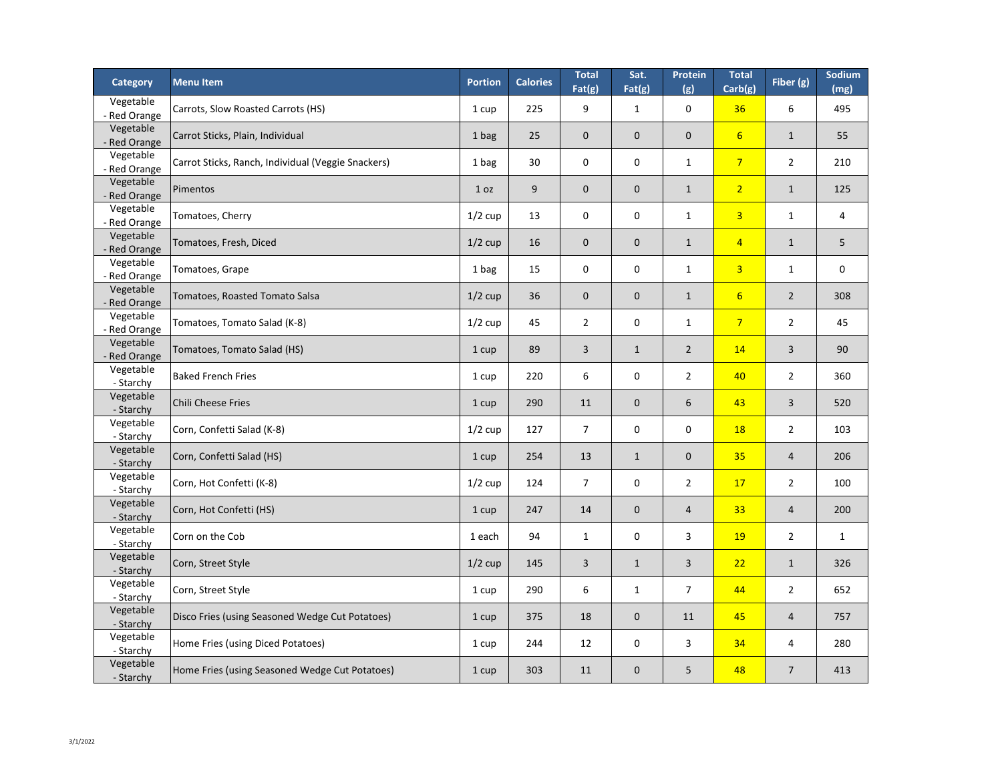| <b>Category</b>           | <b>Menu Item</b>                                   | <b>Portion</b> | <b>Calories</b> | <b>Total</b><br>Fat(g) | Sat.<br>Fat(g) | <b>Protein</b><br>(g) | <b>Total</b><br>Carb(g) | Fiber (g)      | Sodium<br>(mg) |
|---------------------------|----------------------------------------------------|----------------|-----------------|------------------------|----------------|-----------------------|-------------------------|----------------|----------------|
| Vegetable<br>- Red Orange | Carrots, Slow Roasted Carrots (HS)                 | 1 cup          | 225             | 9                      | $\mathbf 1$    | $\mathbf 0$           | 36                      | 6              | 495            |
| Vegetable<br>- Red Orange | Carrot Sticks, Plain, Individual                   | 1 bag          | 25              | $\mathbf{0}$           | $\overline{0}$ | $\overline{0}$        | $6 \overline{6}$        | $\mathbf{1}$   | 55             |
| Vegetable<br>- Red Orange | Carrot Sticks, Ranch, Individual (Veggie Snackers) | 1 bag          | 30              | $\mathbf 0$            | $\mathbf 0$    | $\mathbf{1}$          | $\overline{7}$          | $\overline{2}$ | 210            |
| Vegetable<br>- Red Orange | Pimentos                                           | 1 oz           | 9               | $\mathbf{0}$           | $\overline{0}$ | $\mathbf{1}$          | $\overline{2}$          | $\mathbf{1}$   | 125            |
| Vegetable<br>- Red Orange | Tomatoes, Cherry                                   | $1/2$ cup      | 13              | $\mathbf 0$            | $\mathbf 0$    | $\mathbf{1}$          | $\overline{3}$          | $\mathbf{1}$   | 4              |
| Vegetable<br>- Red Orange | Tomatoes, Fresh, Diced                             | $1/2$ cup      | 16              | $\mathbf{0}$           | $\overline{0}$ | $\mathbf{1}$          | $\overline{4}$          | $\mathbf{1}$   | 5 <sup>5</sup> |
| Vegetable<br>- Red Orange | Tomatoes, Grape                                    | 1 bag          | 15              | $\mathbf 0$            | $\mathbf 0$    | $\mathbf{1}$          | $\overline{3}$          | $\mathbf{1}$   | $\mathbf 0$    |
| Vegetable<br>- Red Orange | Tomatoes, Roasted Tomato Salsa                     | $1/2$ cup      | 36              | $\mathbf{0}$           | $\overline{0}$ | $\mathbf{1}$          | $6 \overline{6}$        | $\overline{2}$ | 308            |
| Vegetable<br>- Red Orange | Tomatoes, Tomato Salad (K-8)                       | $1/2$ cup      | 45              | $\overline{2}$         | $\mathbf 0$    | $\mathbf{1}$          | $\overline{7}$          | $\overline{2}$ | 45             |
| Vegetable<br>- Red Orange | Tomatoes, Tomato Salad (HS)                        | 1 cup          | 89              | 3 <sup>1</sup>         | $\mathbf{1}$   | $\overline{2}$        | 14                      | $\overline{3}$ | 90             |
| Vegetable<br>- Starchy    | <b>Baked French Fries</b>                          | 1 cup          | 220             | 6                      | $\bf{0}$       | $\overline{2}$        | 40                      | $\overline{2}$ | 360            |
| Vegetable<br>- Starchy    | <b>Chili Cheese Fries</b>                          | 1 cup          | 290             | 11                     | $\overline{0}$ | 6                     | 43                      | $\overline{3}$ | 520            |
| Vegetable<br>- Starchy    | Corn, Confetti Salad (K-8)                         | $1/2$ cup      | 127             | 7                      | $\mathbf 0$    | $\mathbf 0$           | <b>18</b>               | $\overline{2}$ | 103            |
| Vegetable<br>- Starchy    | Corn, Confetti Salad (HS)                          | 1 cup          | 254             | 13                     | $\mathbf{1}$   | $\mathbf{0}$          | 35                      | $\overline{4}$ | 206            |
| Vegetable<br>- Starchy    | Corn, Hot Confetti (K-8)                           | $1/2$ cup      | 124             | $\overline{7}$         | $\mathbf 0$    | $\overline{2}$        | 17                      | $\overline{2}$ | 100            |
| Vegetable<br>- Starchy    | Corn, Hot Confetti (HS)                            | 1 cup          | 247             | 14                     | $\overline{0}$ | $\overline{4}$        | 33                      | $\overline{4}$ | 200            |
| Vegetable<br>- Starchy    | Corn on the Cob                                    | 1 each         | 94              | $\mathbf{1}$           | $\mathbf 0$    | $\overline{3}$        | <b>19</b>               | $\overline{2}$ | $\mathbf{1}$   |
| Vegetable<br>- Starchy    | Corn, Street Style                                 | $1/2$ cup      | 145             | $\overline{3}$         | $\mathbf{1}$   | $\overline{3}$        | 22                      | $\mathbf{1}$   | 326            |
| Vegetable<br>- Starchy    | Corn, Street Style                                 | 1 cup          | 290             | 6                      | $\mathbf{1}$   | $\overline{7}$        | 44                      | $\overline{2}$ | 652            |
| Vegetable<br>- Starchy    | Disco Fries (using Seasoned Wedge Cut Potatoes)    | 1 cup          | 375             | 18                     | $\overline{0}$ | 11                    | 45                      | $\overline{4}$ | 757            |
| Vegetable<br>- Starchy    | Home Fries (using Diced Potatoes)                  | 1 cup          | 244             | 12                     | $\mathbf 0$    | $\overline{3}$        | 34                      | $\overline{4}$ | 280            |
| Vegetable<br>- Starchy    | Home Fries (using Seasoned Wedge Cut Potatoes)     | 1 cup          | 303             | 11                     | $\overline{0}$ | 5 <sup>5</sup>        | 48                      | $\overline{7}$ | 413            |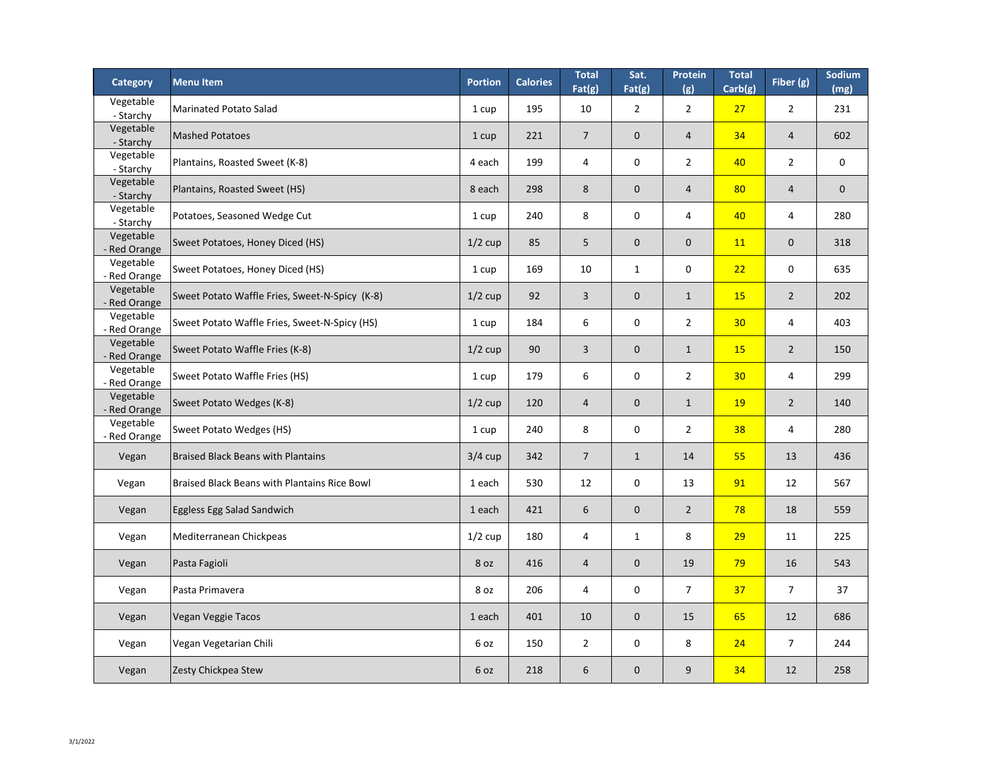| <b>Category</b>           | <b>Menultem</b>                                     | <b>Portion</b> | <b>Calories</b> | <b>Total</b><br>Fat(g) | Sat.<br>Fat(g) | <b>Protein</b><br>(g) | <b>Total</b><br>Carb(g) | Fiber (g)      | Sodium<br>(mg) |
|---------------------------|-----------------------------------------------------|----------------|-----------------|------------------------|----------------|-----------------------|-------------------------|----------------|----------------|
| Vegetable<br>- Starchy    | Marinated Potato Salad                              | 1 cup          | 195             | 10                     | $\overline{2}$ | $\overline{2}$        | 27                      | $\overline{2}$ | 231            |
| Vegetable<br>- Starchy    | <b>Mashed Potatoes</b>                              | 1 cup          | 221             | $\overline{7}$         | $\overline{0}$ | $\overline{4}$        | 34                      | $\overline{4}$ | 602            |
| Vegetable<br>- Starchy    | Plantains, Roasted Sweet (K-8)                      | 4 each         | 199             | 4                      | $\overline{0}$ | $\overline{2}$        | 40                      | $\overline{2}$ | $\mathbf 0$    |
| Vegetable<br>- Starchy    | Plantains, Roasted Sweet (HS)                       | 8 each         | 298             | 8                      | $\overline{0}$ | $\overline{4}$        | 80                      | $\overline{4}$ | $\overline{0}$ |
| Vegetable<br>- Starchy    | Potatoes, Seasoned Wedge Cut                        | 1 cup          | 240             | 8                      | $\mathbf 0$    | 4                     | 40                      | 4              | 280            |
| Vegetable<br>- Red Orange | Sweet Potatoes, Honey Diced (HS)                    | $1/2$ cup      | 85              | 5                      | $\overline{0}$ | $\overline{0}$        | <b>11</b>               | $\mathbf 0$    | 318            |
| Vegetable<br>- Red Orange | Sweet Potatoes, Honey Diced (HS)                    | 1 cup          | 169             | 10                     | $\mathbf{1}$   | $\mathbf 0$           | 22                      | $\mathbf 0$    | 635            |
| Vegetable<br>- Red Orange | Sweet Potato Waffle Fries, Sweet-N-Spicy (K-8)      | $1/2$ cup      | 92              | $\overline{3}$         | $\overline{0}$ | $\mathbf{1}$          | <b>15</b>               | $\overline{2}$ | 202            |
| Vegetable<br>- Red Orange | Sweet Potato Waffle Fries, Sweet-N-Spicy (HS)       | 1 cup          | 184             | 6                      | $\mathbf 0$    | $\overline{2}$        | 30 <sub>2</sub>         | 4              | 403            |
| Vegetable<br>- Red Orange | Sweet Potato Waffle Fries (K-8)                     | $1/2$ cup      | 90              | $\overline{3}$         | $\overline{0}$ | $\mathbf{1}$          | <b>15</b>               | $\overline{2}$ | 150            |
| Vegetable<br>- Red Orange | Sweet Potato Waffle Fries (HS)                      | 1 cup          | 179             | 6                      | $\bf{0}$       | $\overline{2}$        | 30 <sub>o</sub>         | 4              | 299            |
| Vegetable<br>- Red Orange | Sweet Potato Wedges (K-8)                           | $1/2$ cup      | 120             | $\overline{4}$         | $\overline{0}$ | $\mathbf{1}$          | <b>19</b>               | $\overline{2}$ | 140            |
| Vegetable<br>- Red Orange | <b>Sweet Potato Wedges (HS)</b>                     | 1 cup          | 240             | 8                      | $\mathbf 0$    | $2^{\circ}$           | 38                      | 4              | 280            |
| Vegan                     | <b>Braised Black Beans with Plantains</b>           | $3/4$ cup      | 342             | $\overline{7}$         | $\mathbf{1}$   | 14                    | 55                      | 13             | 436            |
| Vegan                     | <b>Braised Black Beans with Plantains Rice Bowl</b> | 1 each         | 530             | 12                     | $\mathbf 0$    | 13                    | 91                      | 12             | 567            |
| Vegan                     | <b>Eggless Egg Salad Sandwich</b>                   | 1 each         | 421             | 6                      | $\overline{0}$ | $\overline{2}$        | 78                      | 18             | 559            |
| Vegan                     | Mediterranean Chickpeas                             | $1/2$ cup      | 180             | 4                      | $\mathbf{1}$   | 8                     | 29                      | 11             | 225            |
| Vegan                     | Pasta Fagioli                                       | 8 oz           | 416             | $\overline{4}$         | $\overline{0}$ | 19                    | 79                      | 16             | 543            |
| Vegan                     | Pasta Primavera                                     | 8 oz           | 206             | 4                      | $\mathbf 0$    | $\overline{7}$        | 37                      | $\overline{7}$ | 37             |
| Vegan                     | Vegan Veggie Tacos                                  | 1 each         | 401             | 10                     | $\overline{0}$ | 15                    | 65                      | 12             | 686            |
| Vegan                     | Vegan Vegetarian Chili                              | 6 oz           | 150             | $\overline{2}$         | $\mathbf 0$    | 8                     | 24                      | $\overline{7}$ | 244            |
| Vegan                     | Zesty Chickpea Stew                                 | 6 oz           | 218             | 6                      | $\overline{0}$ | 9                     | 34                      | 12             | 258            |